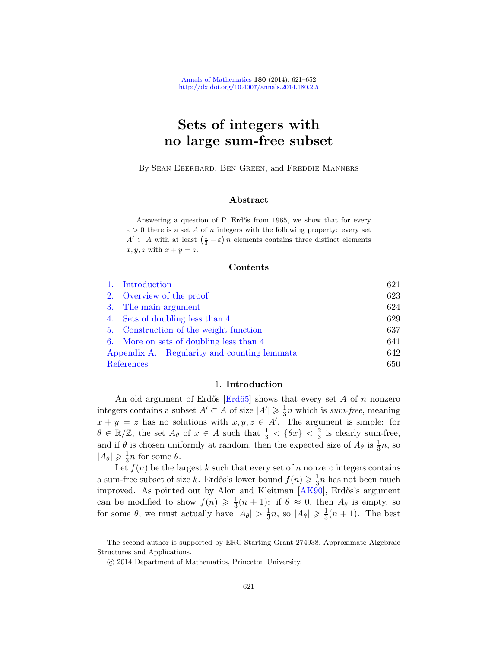# Sets of integers with no large sum-free subset

By Sean Eberhard, Ben Green, and Freddie Manners

# Abstract

Answering a question of P. Erdős from 1965, we show that for every  $\varepsilon > 0$  there is a set A of n integers with the following property: every set  $A' \subset A$  with at least  $\left(\frac{1}{3} + \varepsilon\right)n$  elements contains three distinct elements  $x, y, z$  with  $x + y = z$ .

#### Contents

|            | 1. Introduction                             | 621 |
|------------|---------------------------------------------|-----|
|            | 2. Overview of the proof                    | 623 |
|            | 3. The main argument                        | 624 |
|            | 4. Sets of doubling less than 4             | 629 |
|            | 5. Construction of the weight function      | 637 |
|            | 6. More on sets of doubling less than 4     | 641 |
|            | Appendix A. Regularity and counting lemmata | 642 |
| References |                                             | 650 |

#### 1. Introduction

An old argument of Erdős  $\text{Erd65}$  shows that every set A of n nonzero integers contains a subset  $A' \subset A$  of size  $|A'| \geq \frac{1}{3}$  $\frac{1}{3}n$  which is *sum-free*, meaning  $x + y = z$  has no solutions [with](#page-29-1)  $x, y, z \in A'$ . The argument is simple: for  $\theta \in \mathbb{R}/\mathbb{Z}$ , the set  $A_{\theta}$  of  $x \in A$  such that  $\frac{1}{3} < {\theta x} < \frac{2}{3}$  $\frac{2}{3}$  is clearly sum-free, and if  $\theta$  is chosen uniformly at random, then the expected size of  $A_{\theta}$  is  $\frac{1}{3}n$ , so  $|A_\theta| \geqslant \frac{1}{3}$  $\frac{1}{3}n$  for some  $\theta$ .

Let  $f(n)$  be the largest k such that every set of n nonzero integers contains a sum-free subset of size k. Erdős's lower bound  $f(n) \geq \frac{1}{3}$  $\frac{1}{3}n$  has not been much improved. As pointed out by Alon and Kleitman [AK90], Erdős's argument can be modified to show  $f(n) \geqslant \frac{1}{3}$  $\frac{1}{3}(n+1)$ : if  $\theta \approx 0$ , then  $A_{\theta}$  is empty, so for some  $\theta$ , we must actually have  $|A_{\theta}| > \frac{1}{3}$  $\frac{1}{3}n$ , so  $|A_{\theta}| \geqslant \frac{1}{3}$  $\frac{1}{3}(n+1)$ . The best

The second author is supported by ERC Starting Grant 274938, Approximate Algebraic Structures and Applications.

c 2014 Department of Mathematics, Princeton University.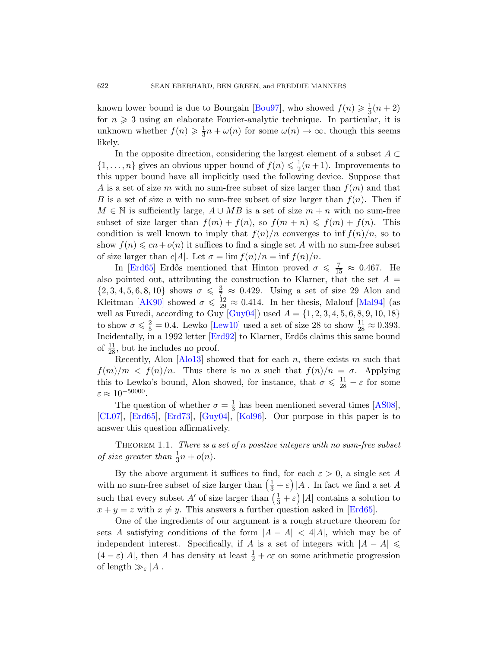known lower bound is due to Bourgain [Bou97], who showed  $f(n) \geq \frac{1}{3}$  $rac{1}{3}(n+2)$ for  $n \geqslant 3$  using an elaborate Fourier-analytic technique. In particular, it is unknown whether  $f(n) \geqslant \frac{1}{3}$  $\frac{1}{3}n + \omega(n)$  for some  $\omega(n) \to \infty$ , though this seems likely.

In the opposite direction, considering the largest element of a subset  $A \subset$  $\{1,\ldots,n\}$  gives an obvious upper bound of  $f(n) \leq \frac{1}{2}$  $\frac{1}{2}(n+1)$ . Improvements to this upper bound have all implicitly used the following device. Suppose that A is a set of size m with no sum-free subset of size larger than  $f(m)$  and that B is a set of size n with no sum-free subset of size larger than  $f(n)$ . Then if  $M \in \mathbb{N}$  is sufficiently large,  $A \cup MB$  is a set of size  $m + n$  with no sum-free subset of size larger than  $f(m) + f(n)$ , so  $f(m+n) \leq f(m) + f(n)$ . This [con](#page-30-0)dition is well known to imply that  $f(n)/n$  converges to inf  $f(n)/n$ , so to show  $f(n) \leqslant cn + o(n)$  $f(n) \leqslant cn + o(n)$  $f(n) \leqslant cn + o(n)$  it suffices to find a single set A with no sum-free subset of size [larger](#page-30-2) than  $c|A|$ . Let  $\sigma = \lim_{n \to \infty} f(n)/n = \inf_{n \to \infty} f(n)/n$ .

I[n \[Erd6](#page-29-2)5] Erdős mentioned that Hinton proved  $\sigma \leq \frac{7}{15} \approx 0.467$ . He also pointed out, attributing the construction to Klarner, that the set  $A =$  $\{2, 3, 4, 5, 6, 8, 10\}$  $\{2, 3, 4, 5, 6, 8, 10\}$  $\{2, 3, 4, 5, 6, 8, 10\}$  shows  $\sigma \leq \frac{3}{7} \approx 0.429$ . Using a set of size 29 Alon and Kleitman [AK90] showed  $\sigma \leq \frac{12}{29} \approx 0.414$ . In her thesis, Malouf [Mal94] (as well as Furedi, according to Guy  $[Guy04]$  used  $A = \{1, 2, 3, 4, 5, 6, 8, 9, 10, 18\}$ to show  $\sigma \leq \frac{2}{5} = 0.4$ . Lewko [Lew10] used a set of size 28 to show  $\frac{11}{28} \approx 0.393$ . Incidentally, in a 1992 letter [Erd92] to Klarner, [Erd˝os](#page-29-4) claims this same bound [o](#page-29-5)f  $\frac{11}{28}$ [, but h](#page-30-1)e [includ](#page-30-3)es no proof.

<span id="page-1-0"></span>Recently, Alon [Alo13] showed that for each n, there exists m such that  $f(m)/m < f(n)/n$ . Thus there is no n such that  $f(n)/n = \sigma$ . Applying this to Lewko's bound, Alon showed, for instance, that  $\sigma \leq \frac{11}{28} - \varepsilon$  for some  $\varepsilon \approx 10^{-50000}$ .

The question of whether  $\sigma = \frac{1}{3}$  $\frac{1}{3}$  has been mentioned several times [AS08], [CL07], [Erd65], [Erd73], [Guy04], [Kol96]. Our purpose in this paper is to answer this question affirmatively.

THEOREM 1.1. There is a set of n po[sitive in](#page-29-0)tegers with no sum-free subset of size greater than  $\frac{1}{3}n + o(n)$ .

By the above argument it suffices to find, for each  $\varepsilon > 0$ , a single set A with no sum-free subset of size larger than  $\left(\frac{1}{3} + \varepsilon\right)|A|$ . In fact we find a set A such that every subset A' of size larger than  $\left(\frac{1}{3} + \varepsilon\right)|A|$  contains a solution to  $x + y = z$  with  $x \neq y$ . This answers a further question asked in [Erd65].

One of the ingredients of our argument is a rough structure theorem for sets A satisfying conditions of the form  $|A - A| < 4|A|$ , which may be of independent interest. Specifically, if A is a set of integers with  $|A - A| \le$  $(4 - \varepsilon)|A|$ , then A has density at least  $\frac{1}{2} + c\varepsilon$  on some arithmetic progression of length  $\gg_{\varepsilon}$  |A|.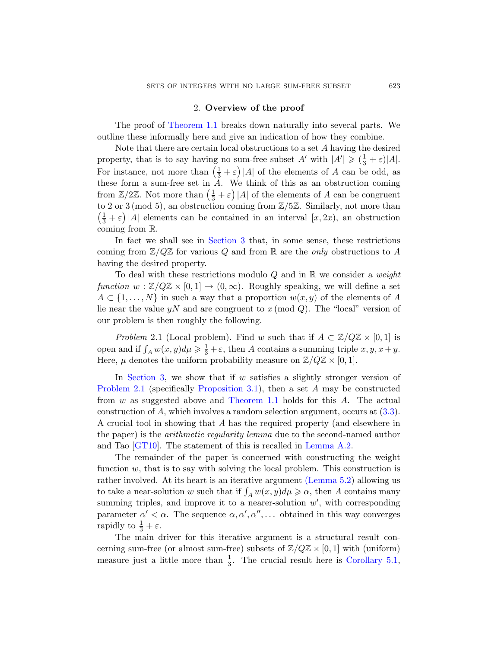### 2. Overview of the proof

The proof of Theorem 1.1 breaks down naturally into several parts. We outline these informally here and give an indication of how they combine.

Note that there are certain local obstructions to a set A having the desired property, that is to say having no sum-free subset  $A'$  with  $|A'| \geq (\frac{1}{3} + \varepsilon)|A|$ . For i[nstance, n](#page-3-0)ot more than  $\left(\frac{1}{3} + \varepsilon\right)|A|$  of the elements of A can be odd, as these form a sum-free set in  $A$ . We think of this as an obstruction coming from  $\mathbb{Z}/2\mathbb{Z}$ . Not more than  $\left(\frac{1}{3} + \varepsilon\right)|A|$  of the elements of A can be congruent to 2 or 3 (mod 5), an obstruction coming from  $\mathbb{Z}/5\mathbb{Z}$ . Similarly, not more than  $\left(\frac{1}{3} + \varepsilon\right)|A|$  elements can be contained in an interval  $[x, 2x)$ , an obstruction coming from R.

In fact we shall see in Section 3 that, in some sense, these restrictions coming from  $\mathbb{Z}/Q\mathbb{Z}$  for various Q and from R are the *only* obstructions to A having the desired property.

To deal with these restrictions modulo Q and in  $\mathbb R$  we consider a *weight* function  $w : \mathbb{Z}/Q\mathbb{Z} \times [0,1] \to (0,\infty)$ . Roughly speaking, we will define a set  $A \subset \{1, \ldots, N\}$  in such a way that a proportion  $w(x, y)$  of the elements of A lie near the value yN and are congruent to  $x \pmod{Q}$ . The "local" version of ou[r problem is then](#page-4-0) roughly the following.

*Problem* [2.1 \(Local](#page-1-0) problem). Find w such [that](#page-5-0) if  $A \subset \mathbb{Z}/Q\mathbb{Z} \times [0,1]$  is open and if  $\int_A w(x, y)d\mu \geq \frac{1}{3} + \varepsilon$ , then A contains a summing triple  $x, y, x + y$ . Here,  $\mu$  denotes the uniform probability measure on  $\mathbb{Z}/Q\mathbb{Z} \times [0,1]$ .

In Section 3, we show t[hat if](#page-22-0)  $w$  satisfies a slightly stronger version of Problem 2.1 (specifically Proposition 3.1), then a set A may be constructed from  $w$  as suggested above and Theorem 1.1 holds for this  $A$ . The actual construction of A, which invol[ves a random](#page-17-0) selection argument, occurs at (3.3). A crucial tool in showing that A has the required property (and elsewhere in the paper) is the arithmetic regularity lemma due to the second-named author and Tao [GT10]. The statement of this is recalled in Lemma A.2.

The remainder of the paper is concerned with constructing the weight function  $w$ , that is to say with solving the local problem. This construction is rather involved. At its heart is an iterative argument (Lemma 5.2) allowing us to take a near-solution w such that if  $\int_A w(x, y)d\mu \geq \alpha$  $\int_A w(x, y)d\mu \geq \alpha$  $\int_A w(x, y)d\mu \geq \alpha$ , then A contains many summing triples, and improve it to a nearer-solution  $w'$ , with corresponding parameter  $\alpha' < \alpha$ . The sequence  $\alpha, \alpha', \alpha'', \dots$  obtained in this way converges rapidly to  $\frac{1}{3} + \varepsilon$ .

The main driver for this iterative argument is a structural result concerning sum-free (or almost sum-free) subsets of  $\mathbb{Z}/Q\mathbb{Z} \times [0,1]$  with (uniform) measure just a little more than  $\frac{1}{3}$ . The crucial result here is Corollary 5.1,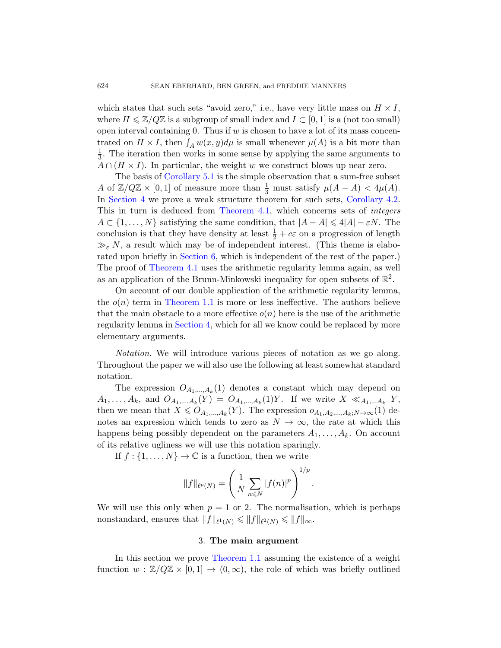[which s](#page-16-0)tates that such sets "avoid zero," i.e., have very little mass on  $H \times I$ , where  $H \leq \mathbb{Z}/Q\mathbb{Z}$  is a subgroup of small index and  $I \subset [0, 1]$  is a (not too small) open interval containing 0. Thus if  $w$  is c[hosen to have](#page-8-1) a lot of its mass concentrated on  $H \times I$ [, then](#page-8-2)  $\int_A w(x, y) d\mu$  is small whenever  $\mu(A)$  is a bit more than 1  $\frac{1}{3}$ . The iteration then works in some sense by applying the same arguments to  $A \cap (H \times I)$ . In particular, the weight w we construct blows up near zero.

The basis of Corollary 5.1 is the simple observation that a sum-free subset A [of](#page-20-0)  $\mathbb{Z}/Q\mathbb{Z} \times [0,1]$  of measure more than  $\frac{1}{3}$  must satisfy  $\mu(A - A) < 4\mu(A)$ . [In](#page-8-2) Section 4 we prove a weak structure theorem for such sets, Corollary 4.2. This in turn is deduced from Theorem 4.1, which concerns sets of integers  $A \subset \{1, \ldots, N\}$  satisfying the same condition, that  $|A - A| \leq 4|A| - \varepsilon N$ . The [conclus](#page-1-0)ion is that they have density at least  $\frac{1}{2} + c\varepsilon$  on a progression of length  $\gg_{\varepsilon} N$ , a result which may be of independent interest. (This theme is elabo[rated u](#page-8-0)pon briefly in Section 6, which is independent of the rest of the paper.) The proof of Theorem 4.1 uses the arithmetic regularity lemma again, as well as an application of the Brunn-Minkowski inequality for open subsets of  $\mathbb{R}^2$ .

On account of our double application of the arithmetic regularity lemma, the  $o(n)$  term in Theorem 1.1 is more or less ineffective. The authors believe that the main obstacle to a more effective  $o(n)$  here is the use of the arithmetic regularity lemma in Section 4, which for all we know could be replaced by more elementary arguments.

Notation. We will introduce various pieces of notation as we go along. Throughout the paper we will also use the following at least somewhat standard notation.

The expression  $O_{A_1,...,A_k}(1)$  denotes a constant which may depend on  $A_1, \ldots, A_k$ , and  $O_{A_1, \ldots, A_k}(Y) = O_{A_1, \ldots, A_k}(1)Y$ . If we write  $X \ll_{A_1, \ldots, A_k} Y$ , then we mean that  $X \leq O_{A_1,...,A_k}(Y)$ . The expression  $o_{A_1,A_2,...,A_k;N\to\infty}(1)$  denotes an expression which tends to zero as  $N \to \infty$ , the rate at which this happens being possibly dependent on the parameters  $A_1, \ldots, A_k$ . On account of its relative ugliness we will use this notation sparingly.

If  $f: \{1, \ldots, N\} \to \mathbb{C}$  is a function, then we write

$$
||f||_{\ell^p(N)} = \left(\frac{1}{N} \sum_{n \leq N} |f(n)|^p\right)^{1/p}
$$

.

<span id="page-3-0"></span>We will use this only when  $p = 1$  or 2. The normalisation, which is perhaps nonstandard, ensures that  $||f||_{\ell^1(N)} \leq ||f||_{\ell^2(N)} \leq ||f||_{\infty}$ .

#### 3. The main argument

In this section we prove Theorem 1.1 assuming the existence of a weight function  $w : \mathbb{Z}/Q\mathbb{Z} \times [0,1] \to (0,\infty)$ , the role of which was briefly outlined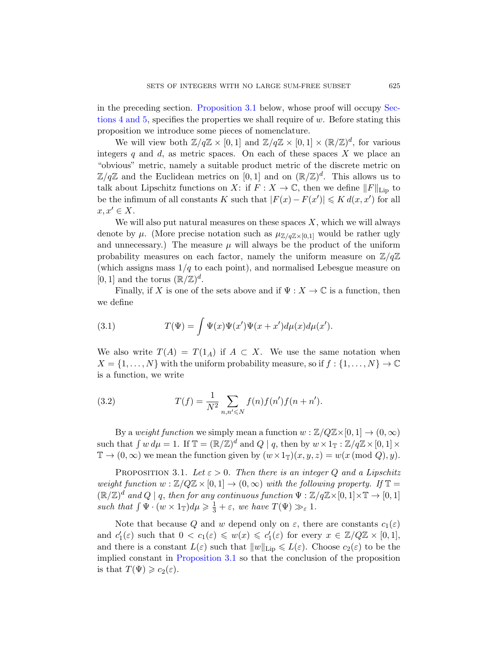in the preceding section. Proposition 3.1 below, whose proof will occupy Sections 4 and 5, specifies the properties we shall require of w. Before stating this proposition we introduce some pieces of nomenclature.

We will view both  $\mathbb{Z}/q\mathbb{Z} \times [0,1]$  and  $\mathbb{Z}/q\mathbb{Z} \times [0,1] \times (\mathbb{R}/\mathbb{Z})^d$ , for various integers q and  $d$ , as metric spaces. On each of these spaces X we place an "obvious" metric, namely a suitable product metric of the discrete metric on  $\mathbb{Z}/q\mathbb{Z}$  and the Euclidean metrics on [0,1] and on  $(\mathbb{R}/\mathbb{Z})^d$ . This allows us to talk about Lipschitz functions on X: if  $F: X \to \mathbb{C}$ , then we define  $||F||_{\text{Lip}}$  to be the infimum of all constants K such that  $|F(x) - F(x')| \leq K d(x, x')$  for all  $x, x' \in X$ .

We will also put natural measures on these spaces  $X$ , which we will always denote by  $\mu$ . (More precise notation such as  $\mu_{\mathbb{Z}/q\mathbb{Z}\times[0,1]}$  would be rather ugly and unnecessary.) The measure  $\mu$  will always be the product of the uniform probability measures on each factor, namely the uniform measure on  $\mathbb{Z}/q\mathbb{Z}$ (which assigns mass  $1/q$  to each point), and normalised Lebesgue measure on [0, 1] and the torus  $(\mathbb{R}/\mathbb{Z})^d$ .

Finally, if X is one of the sets above and if  $\Psi : X \to \mathbb{C}$  is a function, then we define

(3.1) 
$$
T(\Psi) = \int \Psi(x)\Psi(x')\Psi(x+x')d\mu(x)d\mu(x').
$$

We also write  $T(A) = T(1_A)$  if  $A \subset X$ . We use the same notation when  $X = \{1, \ldots, N\}$  with the uniform probability measure, so if  $f : \{1, \ldots, N\} \to \mathbb{C}$ is a function, we write

<span id="page-4-0"></span>(3.2) 
$$
T(f) = \frac{1}{N^2} \sum_{n,n' \le N} f(n) f(n') f(n+n').
$$

By a weight function we simply mean a function  $w : \mathbb{Z}/Q\mathbb{Z} \times [0, 1] \to (0, \infty)$ such that  $\int w d\mu = 1$ . If  $\mathbb{T} = (\mathbb{R}/\mathbb{Z})^d$  and  $Q \mid q$ , then by  $w \times 1_{\mathbb{T}} : \mathbb{Z}/q\mathbb{Z} \times [0, 1] \times$  $\mathbb{T} \to (0,\infty)$  we mean the function given by  $(w \times 1_{\mathbb{T}})(x,y,z) = w(x \pmod{Q},y)$ .

PROPOSITION 3.1. Let  $\varepsilon > 0$ . Then there is an integer Q and a Lipschitz [weight functio](#page-4-0)n  $w : \mathbb{Z}/Q\mathbb{Z} \times [0,1] \to (0,\infty)$  with the following property. If  $\mathbb{T} =$  $(\mathbb{R}/\mathbb{Z})^d$  and  $Q \mid q$ , then for any continuous function  $\Psi : \mathbb{Z}/q\mathbb{Z} \times [0,1] \times \mathbb{T} \to [0,1]$ such that  $\int \Psi \cdot (w \times 1_{\mathbb{T}}) d\mu \geq \frac{1}{3} + \varepsilon$ , we have  $T(\Psi) \gg_{\varepsilon} 1$ .

Note that because Q and w depend only on  $\varepsilon$ , there are constants  $c_1(\varepsilon)$ and  $c'_1(\varepsilon)$  such that  $0 < c_1(\varepsilon) \leq w(x) \leq c'_1(\varepsilon)$  for every  $x \in \mathbb{Z}/Q\mathbb{Z} \times [0,1],$ and there is a constant  $L(\varepsilon)$  such that  $||w||_{\text{Lip}} \leq L(\varepsilon)$ . Choose  $c_2(\varepsilon)$  to be the implied constant in Proposition 3.1 so that the conclusion of the proposition is that  $T(\Psi) \geqslant c_2(\varepsilon)$ .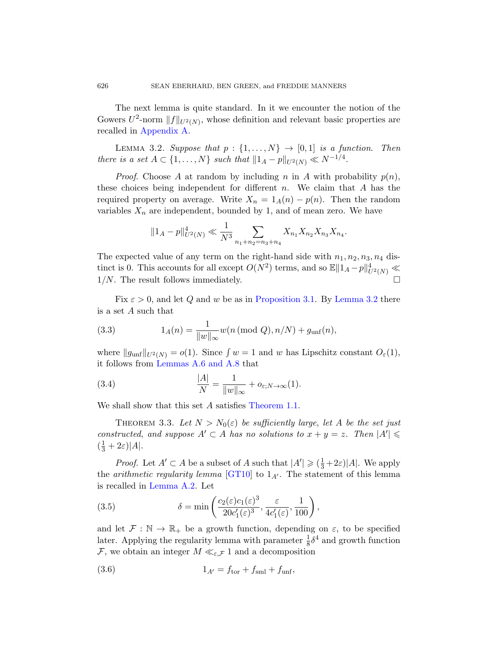<span id="page-5-1"></span>The next lemma is quite standard. In it we encounter the notion of the Gowers  $U^2$ -norm  $||f||_{U^2(N)}$ , whose definition and relevant basic properties are recalled in Appendix A.

LEMMA 3.2. Suppose that  $p: \{1, \ldots, N\} \rightarrow [0, 1]$  is a function. Then there is a set  $A \subset \{1, ..., N\}$  such that  $||1_A - p||_{U^2(N)} \ll N^{-1/4}$ .

*Proof.* Choose A at random by including n in A with probability  $p(n)$ , these choices being independent for different  $n$ . We claim that  $A$  has the required property on average. Write  $X_n = 1_A(n) - p(n)$ . Then the random variables  $X_n$  are independent, bounded by 1, and of mean zero. We have

$$
||1_A - p||_{U^2(N)}^4 \ll \frac{1}{N^3} \sum_{n_1 + n_2 = n_3 + n_4} X_{n_1} X_{n_2} X_{n_3} X_{n_4}.
$$

<span id="page-5-0"></span>The expected value of any term on the right-hand side with  $n_1, n_2, n_3, n_4$  distinct is 0. This accounts for all except  $O(N^2)$  terms, and so  $\mathbb{E} \|1_A - p\|_{U^2(N)}^4 \ll$  $1/N$ . The result follows immediately.  $\square$ 

<span id="page-5-4"></span>[F](#page-25-0)ix  $\varepsilon > 0$ , and let Q and w be as in Proposition 3.1. By Lemma 3.2 there is a set A such that

(3.3) 
$$
1_A(n) = \frac{1}{\|w\|_{\infty}} w(n \text{ (mod } Q), n/N) + g_{\text{unf}}(n),
$$

<span id="page-5-3"></span>where  $||g_{unf}||_{U^2(N)} = o(1)$ . Since  $\int w = 1$  and w has Lipschitz constant  $O_{\varepsilon}(1)$ , it follows from Lemmas A.6 and A.8 that

(3.4) 
$$
\frac{|A|}{N} = \frac{1}{\|w\|_{\infty}} + o_{\varepsilon; N \to \infty}(1).
$$

We shall [show th](#page-30-4)at this set A satisfies Theorem 1.1.

THEOREM 3.3. Let  $N > N_0(\varepsilon)$  be sufficiently large, let A be the set just constructed, and suppose  $A' \subset A$  has no solutions to  $x + y = z$ . Then  $|A'| \leq$  $(\frac{1}{3}+2\varepsilon)|A|.$ 

*Proof.* Let  $A' \subset A$  be a subset of A such that  $|A'| \geq (\frac{1}{3} + 2\varepsilon)|A|$ . We apply the *arithmetic regularity lemma* [GT10] to  $1_{A'}$ . The statement of this lemma is recalled in Lemma A.2. Let

<span id="page-5-2"></span>(3.5) 
$$
\delta = \min\left(\frac{c_2(\varepsilon)c_1(\varepsilon)^3}{20c'_1(\varepsilon)^3}, \frac{\varepsilon}{4c'_1(\varepsilon)}, \frac{1}{100}\right),
$$

and let  $\mathcal{F}: \mathbb{N} \to \mathbb{R}_+$  be a growth function, depending on  $\varepsilon$ , to be specified later. Applying the regularity lemma with parameter  $\frac{1}{8}\delta^4$  and growth function F, we obtain an integer  $M \ll_{\varepsilon,\mathcal{F}} 1$  and a decomposition

(3.6) 
$$
1_{A'} = f_{\text{tor}} + f_{\text{sml}} + f_{\text{unf}},
$$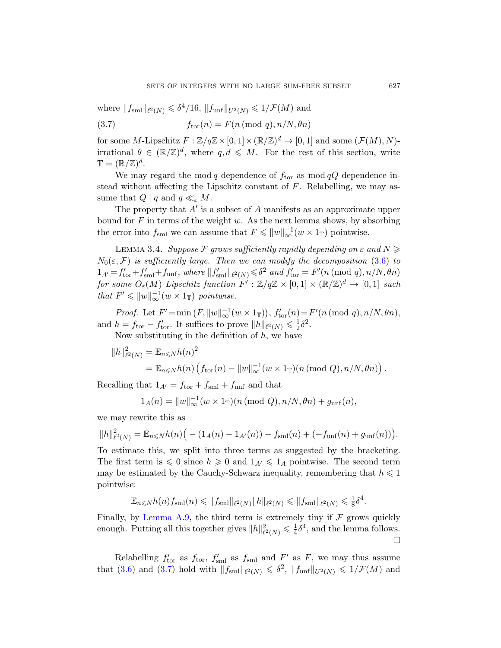where  $||f_{\text{sm}}||_{\ell^2(N)} \leq \delta^4/16$ ,  $||f_{\text{unf}}||_{U^2(N)} \leq 1/\mathcal{F}(M)$  and

(3.7) 
$$
f_{\text{tor}}(n) = F(n \pmod{q}, n/N, \theta n)
$$

for some M-Lipschitz  $F : \mathbb{Z}/q\mathbb{Z} \times [0,1] \times (\mathbb{R}/\mathbb{Z})^d \to [0,1]$  and some  $(\mathcal{F}(M), N)$ irrational  $\theta \in (\mathbb{R}/\mathbb{Z})^d$ , where  $q, d \leq M$ . For the rest of this section, write  $\mathbb{T} = (\mathbb{R}/\mathbb{Z})^d$ .

We may regard the mod q dependence of  $f_{\text{tor}}$  as mod  $qQ$  dependence instead without affecting the Lipschitz constant of  $F$ . Relabelling, we may assume that  $Q \mid q$  and  $q \ll_{\varepsilon} M$ .

The property that  $A'$  is a subset of  $A$  manifests as an approximate upper bound for  $F$  in terms of the weight  $w$ . As the next lemma shows, by absorbing the error into  $f_{\text{sml}}$  we can assume that  $F \leqslant ||w||_{\infty}^{-1} (w \times 1_{\mathbb{T}})$  pointwise.

LEMMA 3.4. Suppose F grows sufficiently rapidly depending on  $\varepsilon$  and  $N \geq$  $N_0(\varepsilon, \mathcal{F})$  is sufficiently large. Then we can modify the decomposition (3.6) to  $1_{A'} = f'_{\text{tor}} + f'_{\text{sml}} + f_{\text{unf}}$ , where  $||f'_{\text{sml}}||_{\ell^2(N)} \leq \delta^2$  and  $f'_{\text{tor}} = F'(n \pmod{q}, n/N, \theta n)$ for some  $O_{\varepsilon}(M)$ -Lipschitz function  $F^{'} : \mathbb{Z}/q\mathbb{Z} \times [0,1] \times (\mathbb{R}/\mathbb{Z})^d \to [0,1]$  such that  $F' \leqslant ||w||_{\infty}^{-1}(w \times 1_{\mathbb{T}})$  pointwise.

Proof. Let  $F' = \min(F, ||w||_{\infty}^{-1}(w \times 1_{\mathbb{T}})), f'_{\text{tor}}(n) = F'(n \pmod{q}, n/N, \theta n),$ and  $h = f_{\text{tor}} - f'_{\text{tor}}$ . It suffices to prove  $||h||_{\ell^2(N)} \leq \frac{1}{2}$  $rac{1}{2}\delta^2$ .

Now substituting in the definition of  $h$ , we have

$$
||h||_{\ell^2(N)}^2 = \mathbb{E}_{n \leq N} h(n)^2
$$
  
= 
$$
\mathbb{E}_{n \leq N} h(n) \left( f_{\text{tor}}(n) - ||w||_{\infty}^{-1} (w \times 1_{\mathbb{T}}) (n \pmod{Q}, n/N, \theta n) \right).
$$

Recalling that  $1_{A'} = f_{\text{tor}} + f_{\text{sml}} + f_{\text{unf}}$  and that

$$
1_A(n) = ||w||_{\infty}^{-1}(w \times 1_{\mathbb{T}})(n \text{ (mod } Q), n/N, \theta n) + g_{\text{unf}}(n),
$$

we may rewrite this as

$$
||h||_{\ell^2(N)}^2 = \mathbb{E}_{n \leq N} h(n) \Big( - (1_A(n) - 1_{A'}(n)) - f_{\text{sml}}(n) + (-f_{\text{unf}}(n) + g_{\text{unf}}(n)) \Big).
$$

[T](#page-26-1)o estimate this, we split into three terms as suggested by the bracketing. The first term is  $\leq 0$  since  $h \geq 0$  and  $1_{A'} \leq 1_A$  pointwise. The second term may be estimated by the Cauchy-Schwarz inequality, remembering that  $h \leq 1$ pointwise:

$$
\mathbb{E}_{n\leqslant N}h(n)f_{\mathrm{sml}}(n)\leqslant \|f_{\mathrm{sml}}\|_{\ell^2(N)}\|h\|_{\ell^2(N)}\leqslant \|f_{\mathrm{sml}}\|_{\ell^2(N)}\leqslant \tfrac{1}{8}\delta^4.
$$

Finally, by Lemma A.9, the third term is extremely tiny if  $\mathcal F$  grows quickly enough. Putting all this together gives  $||h||^2_{\ell^2(N)} \leq \frac{1}{4}$  $\frac{1}{4}\delta^4$ , and the lemma follows.  $\Box$ 

Relabelling  $f'_{\text{tor}}$  as  $f_{\text{tor}}$ ,  $f'_{\text{sml}}$  as  $f_{\text{sml}}$  and  $F'$  as  $F$ , we may thus assume that (3.6) and (3.7) hold with  $||f_{\text{sm}}||_{\ell^2(N)} \leq \delta^2$ ,  $||f_{\text{unf}}||_{U^2(N)} \leq 1/\mathcal{F}(M)$  and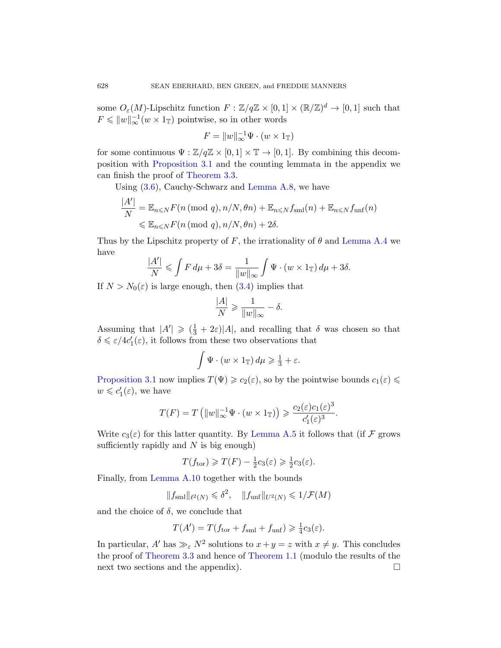[some](#page-5-3)  $O_{\varepsilon}(M)$ -Lipschitz function  $F : \mathbb{Z}/q\mathbb{Z} \times [0,1] \times (\mathbb{R}/\mathbb{Z})^d \to [0,1]$  such that  $F \leqslant ||w||_{\infty}^{-1}(w \times 1_{\mathbb{T}})$  pointwise, so in other words

$$
F = ||w||_{\infty}^{-1} \Psi \cdot (w \times 1_{\mathbb{T}})
$$

for some continuous  $\Psi : \mathbb{Z}/q\mathbb{Z} \times [0,1] \times \mathbb{T} \to [0,1]$ . By combining this decomposition with Proposition 3.1 and the [counting lem](#page-24-0)mata in the appendix we can finish the proof of Theorem 3.3.

Using (3.6), Cauchy-Schwarz and Lemma A.8, we have

$$
\frac{|A'|}{N} = \mathbb{E}_{n \le N} F(n \pmod{q}, n/N, \theta n) + \mathbb{E}_{n \le N} f_{\text{sml}}(n) + \mathbb{E}_{n \le N} f_{\text{unf}}(n)
$$
  

$$
\le \mathbb{E}_{n \le N} F(n \pmod{q}, n/N, \theta n) + 2\delta.
$$

Thus by the Lipschitz property of F, the irrationality of  $\theta$  and Lemma A.4 we have

$$
\frac{|A'|}{N} \leqslant \int F d\mu + 3\delta = \frac{1}{\|w\|_{\infty}} \int \Psi \cdot (w \times 1_{\mathbb{T}}) d\mu + 3\delta.
$$

If  $N > N_0(\varepsilon)$  is large enough, then (3.4) implies that

$$
\frac{|A|}{N} \geqslant \frac{1}{\|w\|_{\infty}} - \delta.
$$

Assuming that  $|A'| \geq ( \frac{1}{3} + 2\varepsilon) |A|$ , and recalling that  $\delta$  was chosen so that  $\delta \leq \varepsilon/4c_1'(\varepsilon)$ , it follows from these two observations that

$$
\int \Psi \cdot (w \times 1_{\mathbb{T}}) d\mu \geqslant \frac{1}{3} + \varepsilon.
$$

Proposition 3.1 now implies  $T(\Psi) \geq c_2(\varepsilon)$ , so by the pointwise bounds  $c_1(\varepsilon) \leq$  $w \leqslant c_1'(\varepsilon)$ , we have

$$
T(F) = T\left(\|w\|_{\infty}^{-1} \Psi \cdot (w \times 1_{\mathbb{T}})\right) \geqslant \frac{c_2(\varepsilon)c_1(\varepsilon)^3}{c_1'(\varepsilon)^3}.
$$

Write  $c_3(\varepsilon)$  for this latter quantity. By Lemma A.5 it follows that (if F grows sufficiently rapidly and  $N$  is big enough)

$$
T(f_{\text{tor}}) \geqslant T(F) - \frac{1}{2}c_3(\varepsilon) \geqslant \frac{1}{2}c_3(\varepsilon).
$$

[Fi](#page-5-3)nally, from L[emma A.10](#page-1-0) together with the bounds

 $||f_{\text{sml}}||_{\ell^2(N)} \leqslant \delta^2$ ,  $||f_{\text{unf}}||_{U^2(N)} \leqslant 1/\mathcal{F}(M)$ 

and the choice of  $\delta$ , we conclude that

$$
T(A') = T(f_{\text{tor}} + f_{\text{sml}} + f_{\text{unf}}) \geq \frac{1}{4}c_3(\varepsilon).
$$

In particular, A' has  $\gg_{\varepsilon} N^2$  solutions to  $x + y = z$  with  $x \neq y$ . This concludes the proof of Theorem 3.3 and hence of Theorem 1.1 (modulo the results of the next two sections and the appendix).  $\Box$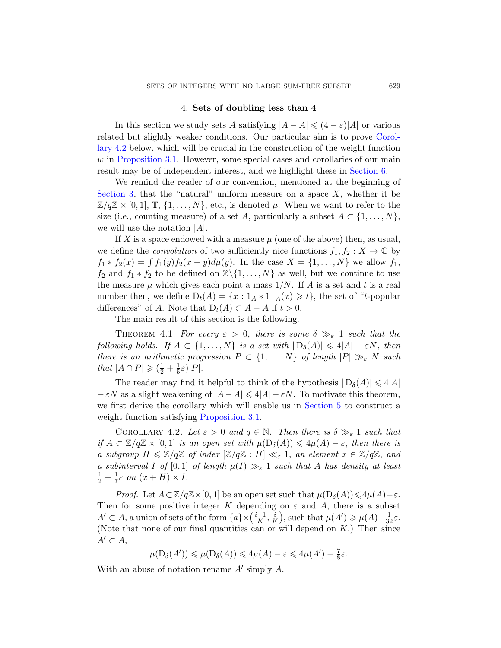## 4. Sets of doubli[ng less th](#page-20-0)an 4

<span id="page-8-0"></span>In this section we study sets A satisfying  $|A - A| \leq (4 - \varepsilon)|A|$  or various related but slightly weaker conditions. Our particular aim is to prove Corollary 4.2 below, which will be crucial in the construction of the weight function w in Proposition 3.1. However, some special cases and corollaries of our main result may be of independent interest, and we highlight these in Section 6.

We remind the reader of our convention, mentioned at the beginning of Section 3, that the "natural" uniform measure on a space  $X$ , whether it be  $\mathbb{Z}/q\mathbb{Z} \times [0,1], \mathbb{T}, \{1,\ldots,N\},$  etc., is denoted  $\mu$ . When we want to refer to the size (i.e., counting measure) of a set A, particularly a subset  $A \subset \{1, \ldots, N\}$ , we will use the notation  $|A|$ .

<span id="page-8-2"></span>If X is a space endowed with a measure  $\mu$  (one of the above) then, as usual, we define the *convolution* of two sufficiently nice functions  $f_1, f_2 : X \to \mathbb{C}$  by  $f_1 * f_2(x) = \int f_1(y) f_2(x - y) d\mu(y)$ . In the case  $X = \{1, ..., N\}$  we allow  $f_1$ ,  $f_2$  and  $f_1 * f_2$  to be defined on  $\mathbb{Z}\backslash\{1,\ldots,N\}$  as well, but we continue to use the measure  $\mu$  which gives each point a mass  $1/N$ . If A is a set and t is a real number then, we define  $D_t(A) = \{x : 1_A * 1_{-A}(x) \geq t\}$ , the set of "t-popular differences" of A. Note that  $D_t(A) \subset A - A$  if  $t > 0$ .

The main result of this section is the following.

<span id="page-8-1"></span>THEOREM 4.1. For every  $\varepsilon > 0$ , there is some  $\delta \gg_{\varepsilon} 1$  such that the foll[owing holds](#page-4-0). If  $A \subset \{1, ..., N\}$  is a set with  $|D_{\delta}(A)| \leq 4|A| - \varepsilon N$ , then there is an arithmetic progression  $P \subset \{1, \ldots, N\}$  of length  $|P| \gg_{\varepsilon} N$  such that  $|A \cap P| \geqslant (\frac{1}{2} + \frac{1}{5})$  $\frac{1}{5}\varepsilon)|P|.$ 

The reader may find it helpful to think of the hypothesis  $|D_{\delta}(A)| \leq 4|A|$  $-\varepsilon N$  as a slight weakening of  $|A - A| \le 4|A| - \varepsilon N$ . To motivate this theorem, we first derive the corollary which will enable us in Section 5 to construct a weight function satisfying Proposition 3.1.

COROLLARY 4.2. Let  $\varepsilon > 0$  and  $q \in \mathbb{N}$ . Then there is  $\delta \gg_{\varepsilon} 1$  such that if  $A \subset \mathbb{Z}/q\mathbb{Z} \times [0,1]$  is an open set with  $\mu(D_{\delta}(A)) \leq 4\mu(A) - \varepsilon$ , then there is a subgroup  $H \leq \mathbb{Z}/q\mathbb{Z}$  of index  $[\mathbb{Z}/q\mathbb{Z} : H] \ll_{\varepsilon} 1$ , an element  $x \in \mathbb{Z}/q\mathbb{Z}$ , and a subinterval I of [0,1] of length  $\mu(I) \gg_{\varepsilon} 1$  such that A has density at least  $rac{1}{2} + \frac{1}{7}$  $\frac{1}{7}\varepsilon$  on  $(x+H)\times I$ .

*Proof.* Let  $A \subset \mathbb{Z}/q\mathbb{Z} \times [0, 1]$  be an open set such that  $\mu(D_{\delta}(A)) \leq 4\mu(A) - \varepsilon$ . Then for some positive integer K depending on  $\varepsilon$  and A, there is a subset  $A'$  ⊂ A, a union of sets of the form  $\{a\} \times (\frac{i-1}{K})$  $\frac{-1}{K}, \frac{i}{K}$  $\frac{i}{K}$ , such that  $\mu(A') \geq \mu(A) - \frac{1}{32}\varepsilon$ . (Note that none of our final quantities can or will depend on  $K$ .) Then since  $A' \subset A$ ,

$$
\mu(D_{\delta}(A')) \leqslant \mu(D_{\delta}(A)) \leqslant 4\mu(A) - \varepsilon \leqslant 4\mu(A') - \frac{7}{8}\varepsilon.
$$

With an abuse of notation rename  $A'$  simply  $A$ .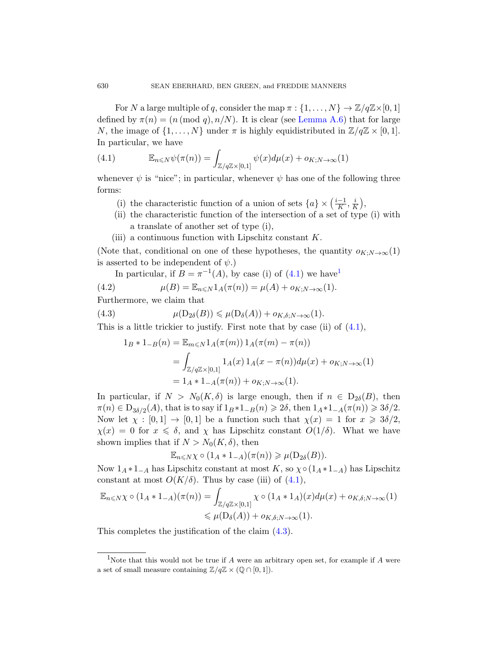<span id="page-9-0"></span>For N a large multiple of q, consider the map  $\pi : \{1, \ldots, N\} \to \mathbb{Z}/q\mathbb{Z} \times [0, 1]$ defined by  $\pi(n) = (n \pmod{q}, n/N)$ . It is clear (see Lemma A.6) that for large N, the image of  $\{1, \ldots, N\}$  under  $\pi$  is highly equidistributed in  $\mathbb{Z}/q\mathbb{Z} \times [0,1]$ . In particular, we have

(4.1) 
$$
\mathbb{E}_{n \leqslant N} \psi(\pi(n)) = \int_{\mathbb{Z}/q\mathbb{Z} \times [0,1]} \psi(x) d\mu(x) + o_{K;N \to \infty}(1)
$$

whenever  $\psi$  is "nice"; in particular, whenever  $\psi$  has one of the following three forms:

- (i) the characteristic [fun](#page-9-0)ction of [a](#page-9-1) union of sets  $\{a\} \times (\frac{i-1}{K})$  $\frac{-1}{K}, \frac{i}{K}$  $\frac{i}{K}\Big),$
- (ii) the characteristic function of the intersection of a set of type (i) with a translate of another set of type (i),
- (iii) a continuous function with Lipschitz constant  $K$ .

<span id="page-9-2"></span>(Note that, conditional on one of these [hypo](#page-9-0)theses, the quantity  $o_{K:N\to\infty}(1)$ ) is asserted to be independent of  $\psi$ .)

In particular, if  $B = \pi^{-1}(A)$ , by case (i) of (4.1) we have

(4.2) 
$$
\mu(B) = \mathbb{E}_{n \leq N} 1_A(\pi(n)) = \mu(A) + o_{K;N \to \infty}(1).
$$

Furthermore, we claim that

(4.3) 
$$
\mu(D_{2\delta}(B)) \leq \mu(D_{\delta}(A)) + o_{K,\delta;N \to \infty}(1).
$$

This is a little trickier to justify. First note that by case (ii) of (4.1),

$$
1_B * 1_{-B}(n) = \mathbb{E}_{m \leq N} 1_A(\pi(m)) 1_A(\pi(m) - \pi(n))
$$
  
= 
$$
\int_{\mathbb{Z}/q\mathbb{Z} \times [0,1]} 1_A(x) 1_A(x - \pi(n)) d\mu(x) + o_{K;N \to \infty}(1)
$$
  
= 
$$
1_A * 1_{-A}(\pi(n)) + o_{K;N \to \infty}(1).
$$

In particular, if  $N > N_0(K, \delta)$  is large enough, then if  $n \in D_{2\delta}(B)$ , then  $\pi(n) \in D_{3\delta/2}(A)$ , that is t[o say](#page-9-0) if  $1_B * 1_{-B}(n) \geq 2\delta$ , then  $1_A * 1_{-A}(\pi(n)) \geq 3\delta/2$ . Now let  $\chi : [0,1] \to [0,1]$  be a function such that  $\chi(x) = 1$  for  $x \geq 3\delta/2$ ,  $\chi(x) = 0$  for  $x \le \delta$ , and  $\chi$  has Lipschitz constant  $O(1/\delta)$ . What we have shown implies that if  $N > N_0(K, \delta)$ , then

$$
\mathbb{E}_{n\leq N} \chi \circ (1_A * 1_{-A})(\pi(n)) \geq \mu(D_{2\delta}(B)).
$$

<span id="page-9-1"></span>Now  $1_A * 1_{-A}$  has Lipschitz constant at most K, so  $\chi \circ (1_A * 1_{-A})$  has Lipschitz constant at most  $O(K/\delta)$ . Thus by case (iii) of (4.1),

$$
\mathbb{E}_{n \leq N} \chi \circ (1_A * 1_{-A})(\pi(n)) = \int_{\mathbb{Z}/q\mathbb{Z} \times [0,1]} \chi \circ (1_A * 1_A)(x) d\mu(x) + o_{K,\delta;N \to \infty}(1)
$$
  

$$
\leq \mu(D_{\delta}(A)) + o_{K,\delta;N \to \infty}(1).
$$

This completes the justification of the claim (4.3).

<sup>&</sup>lt;sup>1</sup>Note that this would not be true if  $A$  were an arbitrary open set, for example if  $A$  were a set of small measure containing  $\mathbb{Z}/q\mathbb{Z} \times (\mathbb{Q} \cap [0,1]).$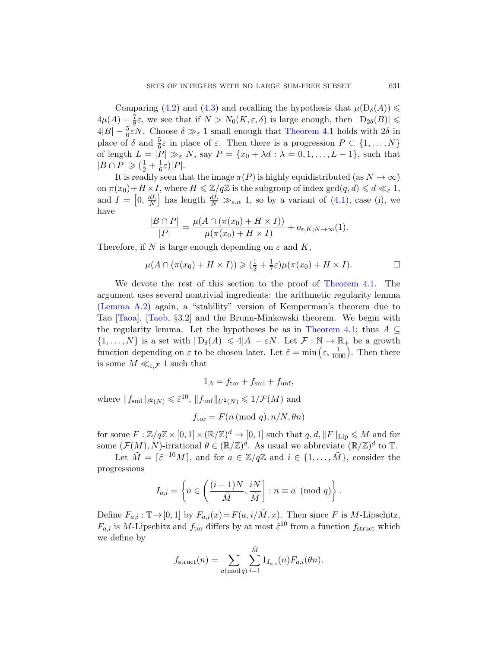Comparing (4.2) and (4.3) and recalling the hypothesis that  $\mu(D_{\delta}(A)) \le$  $4\mu(A) - \frac{7}{8}$  $\frac{7}{8}\varepsilon$ , we see that if  $N > N_0(K, \varepsilon, \delta)$  is large enough, then  $|D_{2\delta}(B)| \leq$  $4|B| - \frac{5}{6}\varepsilon N$ . Choose  $\delta \gg_{\varepsilon} 1$  small e[noug](#page-9-0)h that Theorem 4.1 holds with  $2\delta$  in place of  $\delta$  and  $\frac{5}{6}\varepsilon$  in place of  $\varepsilon$ . Then there is a progression  $P \subset \{1, \ldots, N\}$ of length  $L = |P| \gg_{\varepsilon} N$ , say  $P = \{x_0 + \lambda d : \lambda = 0, 1, \ldots, L-1\}$ , such that  $|B \cap P| \geqslant (\frac{1}{2} + \frac{1}{6})$  $\frac{1}{6}\varepsilon)|P|.$ 

It is readily seen that the image  $\pi(P)$  is highly equidistributed (as  $N \to \infty$ ) on  $\pi(x_0)+H\times I$ , where  $H\leq \mathbb{Z}/q\mathbb{Z}$  is the subgroup of index  $gcd(q,d)\leqslant d\ll_{\varepsilon} 1$ , and  $I = \left[0, \frac{dL}{N}\right]$  $\frac{dL}{N}$  has length  $\frac{dL}{N} \gg_{\varepsilon,\alpha} 1$ , so by a variant of (4.1), case (i), we have

$$
\frac{|B \cap P|}{|P|} = \frac{\mu(A \cap (\pi(x_0) + H \times I))}{\mu(\pi(x_0) + H \times I)} + o_{\varepsilon, K; N \to \infty}(1).
$$

Therefore, if N is large enough depending on  $\varepsilon$  and K,

$$
\mu(A \cap (\pi(x_0) + H \times I)) \geqslant (\frac{1}{2} + \frac{1}{7}\varepsilon)\mu(\pi(x_0) + H \times I).
$$

We devote the rest of this section to the proof of Theorem 4.1. The argument uses several nontrivial ingredients: the arithmetic regularity lemma (Lemma A.2) again, a "stability" version of Kemperman's theorem due to Tao [Taoa], [Taob, §3.2] and the Brunn-Minkowski theorem. We begin with the regularity lemma. Let the hypotheses be as in Theorem 4.1; thus  $A \subseteq$  $\{1,\ldots,N\}$  is a set with  $|D_{\delta}(A)| \leq 4|A| - \varepsilon N$ . Let  $\mathcal{F}: \mathbb{N} \to \mathbb{R}_+$  be a growth function depending on  $\varepsilon$  to be chosen later. Let  $\tilde{\varepsilon} = \min\left(\varepsilon, \frac{1}{1000}\right)$ . Then there is some  $M \ll_{\varepsilon,\mathcal{F}} 1$  such that

$$
1_A = f_{\text{tor}} + f_{\text{sml}} + f_{\text{unf}},
$$

where  $||f_{\text{sm}}||_{\ell^2(N)} \leq \tilde{\varepsilon}^{10}$ ,  $||f_{\text{unf}}||_{U^2(N)} \leq 1/\mathcal{F}(M)$  and

$$
f_{\text{tor}} = F(n \pmod{q}, n/N, \theta n)
$$

for some  $F: \mathbb{Z}/q\mathbb{Z} \times [0,1] \times (\mathbb{R}/\mathbb{Z})^d \to [0,1]$  such that  $q, d, ||F||_{\text{Lip}} \leqslant M$  and for some  $(\mathcal{F}(M), N)$ -irrational  $\theta \in (\mathbb{R}/\mathbb{Z})^d$ . As usual we abbreviate  $(\mathbb{R}/\mathbb{Z})^d$  to  $\mathbb{T}$ .

Let  $\tilde{M} = \lceil \tilde{\varepsilon}^{-10} M \rceil$ , and for  $a \in \mathbb{Z}/q\mathbb{Z}$  and  $i \in \{1, ..., M\}$ , consider the progressions

$$
I_{a,i} = \left\{ n \in \left( \frac{(i-1)N}{\tilde{M}}, \frac{iN}{\tilde{M}} \right] : n \equiv a \pmod{q} \right\}.
$$

Define  $F_{a,i} : \mathbb{T} \to [0,1]$  by  $F_{a,i}(x) = F(a, i/M, x)$ . Then since F is M-Lipschitz,  $F_{a,i}$  is M-Lipschitz and  $f_{\text{tor}}$  differs by at most  $\tilde{\varepsilon}^{10}$  from a function  $f_{\text{struct}}$  which we define by

$$
f_{\text{struct}}(n) = \sum_{a(\text{mod }q)} \sum_{i=1}^{\tilde{M}} 1_{I_{a,i}}(n) F_{a,i}(\theta n).
$$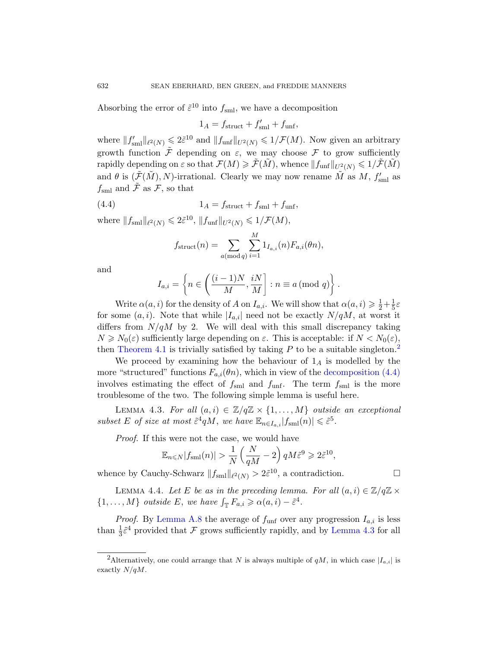Absorbing the error of  $\tilde{\varepsilon}^{10}$  into  $f_{\rm sml}$ , we have a decomposition

$$
1_A = f_{\text{struct}} + f'_{\text{sml}} + f_{\text{unf}},
$$

<span id="page-11-1"></span>where  $||f'_{\text{small}}||_{\ell^2(N)} \leq 2\tilde{\varepsilon}^{10}$  and  $||f_{\text{unf}}||_{U^2(N)} \leq 1/\mathcal{F}(M)$ . Now given an arbitrary growth function  $\tilde{\mathcal{F}}$  depending on  $\varepsilon$ , we may choose  $\mathcal F$  to grow sufficiently rapidly depending on  $\varepsilon$  so that  $\mathcal{F}(M) \geq \tilde{\mathcal{F}}(\tilde{M})$ , whence  $||f_{unf}||_{U^2(N)} \leq 1/\tilde{\mathcal{F}}(\tilde{M})$ and  $\theta$  is  $(\tilde{\mathcal{F}}(\tilde{M}), N)$ -irrational. Clearly we may now rename  $\tilde{M}$  as  $M, f'_{\text{sml}}$  as  $f_{\text{sml}}$  and  $\ddot{\mathcal{F}}$  as  $\mathcal{F}$ , so that

(4.4) 
$$
1_A = f_{\text{struct}} + f_{\text{sml}} + f_{\text{unf}},
$$

where  $||f_{\text{sm1}}||_{\ell^2(N)} \leq 2\tilde{\varepsilon}^{10}$ ,  $||f_{\text{unf}}||_{U^2(N)} \leq 1/\mathcal{F}(M)$ ,

$$
f_{\text{struct}}(n) = \sum_{a(\text{mod }q)} \sum_{i=1}^{M} 1_{I_{a,i}}(n) F_{a,i}(\theta n),
$$

and

$$
I_{a,i} = \left\{ n \in \left( \frac{(i-1)N}{M}, \frac{iN}{M} \right] : n \equiv a \pmod{q} \right\}.
$$

Write  $\alpha(a, i)$  for the density of A on  $I_{a,i}$ [. We will sho](#page-11-1)w that  $\alpha(a, i) \geq \frac{1}{2} + \frac{1}{5}$  $rac{1}{5}\varepsilon$ for some  $(a, i)$ . Note that while  $|I_{a,i}|$  need not be exactly  $N/qM$ , at worst it differs from  $N/qM$  by 2. We will deal with this small discrepancy taking  $N \geq N_0(\varepsilon)$  sufficiently large depending on  $\varepsilon$ . This is acceptable: if  $N < N_0(\varepsilon)$ , then Theorem 4.1 is trivially satisfied by taking  $P$  to be a suitable singleton.<sup>2</sup>

<span id="page-11-2"></span>We proceed by examining how the behaviour of  $1_A$  is modelled by the more "structured" functions  $F_{a,i}(\theta n)$ , which in view of the decomposition (4.4) involves estimating the effect of  $f_{\text{sml}}$  and  $f_{\text{unf}}$ . The term  $f_{\text{sml}}$  is the more troublesome of the two. The following simple lemma is useful here.

LEMMA 4.3. For all  $(a, i) \in \mathbb{Z}/q\mathbb{Z} \times \{1, ..., M\}$  outside an exceptional subset E of size at most  $\tilde{\varepsilon}^4 qM$ , we have  $\mathbb{E}_{n \in I_{a,i}} |f_{\text{sml}}(n)| \leq \tilde{\varepsilon}^5$ .

Proof. If this were not the case, we would have

$$
\mathbb{E}_{n\leqslant N}|f_{\mathrm{sml}}(n)| > \frac{1}{N} \left(\frac{N}{qM} - 2\right) qM \tilde{\varepsilon}^9 \geqslant 2\tilde{\varepsilon}^{10},
$$

whence by Cauchy-Schwarz  $||f_{\text{sm}}||_{\ell^2(N)} > 2\tilde{\varepsilon}^{10}$ , a contradiction.

<span id="page-11-0"></span>LEMMA 4.4. Let E be as in the preceding lemma. For all  $(a, i) \in \mathbb{Z}/q\mathbb{Z} \times$  $\{1,\ldots,M\}$  outside E, we have  $\int_{\mathbb{T}} F_{a,i} \geq \alpha(a,i) - \tilde{\varepsilon}^4$ .

*Proof.* By Lemma A.8 the average of  $f_{\text{unf}}$  over any progression  $I_{a,i}$  is less than  $\frac{1}{3}\tilde{\varepsilon}^4$  provided that  $\mathcal F$  grows sufficiently rapidly, and by Lemma 4.3 for all

$$
\Box
$$

<sup>&</sup>lt;sup>2</sup>Alternatively, one could arrange that N is always multiple of  $qM$ , in which case  $|I_{a,i}|$  is exactly  $N/qM$ .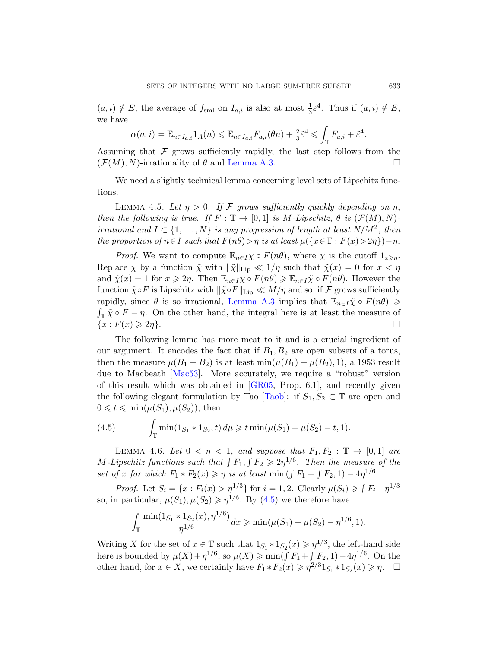<span id="page-12-1"></span> $(a, i) \notin E$ , the average of  $f_{\text{sml}}$  on  $I_{a,i}$  is also at most  $\frac{1}{3}\tilde{\varepsilon}^4$ . Thus if  $(a, i) \notin E$ , we have

$$
\alpha(a,i) = \mathbb{E}_{n \in I_{a,i}} 1_A(n) \leq \mathbb{E}_{n \in I_{a,i}} F_{a,i}(\theta n) + \frac{2}{3} \tilde{\varepsilon}^4 \leq \int_{\mathbb{T}} F_{a,i} + \tilde{\varepsilon}^4.
$$

Assuming that  $\mathcal F$  grows sufficiently rapidly, the last step follows from the  $(\mathcal{F}(M), N)$ -irrationality of  $\theta$  and Lemma A.3.

We need a slightly technical lemma concerning level sets of Lipschitz functions.

LEMMA 4.5. Let  $\eta > 0$ . If F grows sufficiently quickly depending on  $\eta$ , then the following is true. If  $F : \mathbb{T} \to [0,1]$  is M-Lipschitz,  $\theta$  is  $(\mathcal{F}(M), N)$ irrational and  $I \subset \{1, \ldots, N\}$  is any progression of length at least  $N/M^2$ , then the proportion of  $n \in I$  such that  $F(n\theta) > \eta$  is at least  $\mu({x \in \mathbb{T} : F(x) > 2\eta})-\eta$ .

*Proof.* We want to compute  $\mathbb{E}_{n\in I}\chi \circ F(n\theta)$ , where  $\chi$  is the cutoff  $1_{x\geqslant \eta}$ . Replace  $\chi$  by a function  $\tilde{\chi}$  with  $\|\tilde{\chi}\|_{\text{Lip}} \ll 1/\eta$  such that  $\tilde{\chi}(x) = 0$  for  $x < \eta$ and  $\tilde{\chi}(x) = 1$  for  $x \geq 2\eta$ . Then  $\mathbb{E}_{n \in I} \chi \circ F(n\theta) \geq \mathbb{E}_{n \in I} \tilde{\chi} \circ F(n\theta)$ . However the function  $\tilde{\chi} \circ F$  is Lipschitz with  $\|\tilde{\chi} \circ F\|_{\text{Lip}} \ll M/\eta$  and so, if F grows sufficiently [rap](#page-30-5)idly, since  $\theta$  is so irrational, Lemma A.3 implies that  $\mathbb{E}_{n\in I}\tilde{\chi} \circ F(n\theta) \geq$  $\int_{\mathbb{T}} \tilde{\chi} \circ F - \eta$ . O[n the o](#page-30-6)ther hand, the integral here is at least the measure of  $\{x: F(x) \geqslant 2\eta\}.$ 

<span id="page-12-0"></span>The following lemma has more meat to it and is a crucial ingredient of our argument. It encodes the fact that if  $B_1, B_2$  are open subsets of a torus, then the measure  $\mu(B_1 + B_2)$  is at least  $\min(\mu(B_1) + \mu(B_2), 1)$ , a 1953 result due to Macbeath [Mac53]. More accurately, we require a "robust" version of this result which was obtained in [GR05, Prop. 6.1], and recently given the following elegant formulation by Tao [Taob]: if  $S_1, S_2 \subset \mathbb{T}$  are open and  $0 \leq t \leq \min(\mu(S_1), \mu(S_2))$ , then

(4.5) 
$$
\int_{\mathbb{T}} \min(1_{S_1} * 1_{S_2}, t) d\mu \geq t \min(\mu(S_1) + \mu(S_2) - t, 1).
$$

LEMMA 4.6. Let  $0 < \eta < 1$ , and suppose that  $F_1, F_2 : \mathbb{T} \to [0,1]$  are M-Lipschitz functions such that  $\int F_1, \int F_2 \geqslant 2\eta^{1/6}$ . Then the measure of the set of x for which  $F_1 * F_2(x) \geqslant \eta$  is at least min  $(\int F_1 + \int F_2, 1) - 4\eta^{1/6}$ .

*Proof.* Let  $S_i = \{x : F_i(x) > \eta^{1/3}\}\$ for  $i = 1, 2$ . Clearly  $\mu(S_i) \geq \int F_i - \eta^{1/3}$ so, in particular,  $\mu(S_1), \mu(S_2) \geq \eta^{1/6}$ . By (4.5) we therefore have

$$
\int_{\mathbb{T}} \frac{\min(1_{S_1} * 1_{S_2}(x), \eta^{1/6})}{\eta^{1/6}} dx \ge \min(\mu(S_1) + \mu(S_2) - \eta^{1/6}, 1).
$$

Writing X for the set of  $x \in \mathbb{T}$  such that  $1_{S_1} * 1_{S_2}(x) \geq \eta^{1/3}$ , the left-hand side here is bounded by  $\mu(X) + \eta^{1/6}$ , so  $\mu(X) \ge \min(\int F_1 + \int F_2, 1) - 4\eta^{1/6}$ . On the other hand, for  $x \in X$ , we certainly have  $F_1 * F_2(x) \geq \eta^{2/3} 1_{S_1} * 1_{S_2}(x) \geq \eta$ .  $\Box$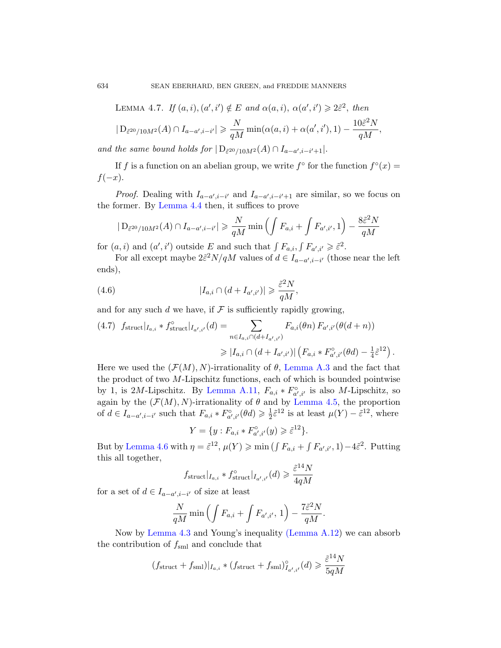634 SEAN EBERHARD, BEN GREEN, and FREDDIE MANNERS

LEMMA 4.7. If 
$$
(a, i), (a', i') \notin E
$$
 and  $\alpha(a, i), \alpha(a', i') \geq 2\tilde{\varepsilon}^2$ , then

$$
|D_{\tilde{\varepsilon}^{20}/10M^2}(A) \cap I_{a-a',i-i'}| \geq \frac{N}{qM} \min(\alpha(a,i) + \alpha(a',i'),1) - \frac{10\tilde{\varepsilon}^2 N}{qM},
$$

and the same bound holds for  $|D_{\tilde{\varepsilon}^{20}/10M^2}(A) \cap I_{a-a',i-i'+1}|$ .

If f is a function on an abelian group, we write  $f^{\circ}$  for the function  $f^{\circ}(x) =$  $f(-x)$ .

*Proof.* Dealing with  $I_{a-a',i-i'}$  and  $I_{a-a',i-i'+1}$  are similar, so we focus on the former. By Lemma 4.4 then, it suffices to prove

$$
|D_{\tilde{\varepsilon}^{20}/10M^2}(A) \cap I_{a-a',i-i'}| \geq \frac{N}{qM} \min\left(\int F_{a,i} + \int F_{a',i'}, 1\right) - \frac{8\tilde{\varepsilon}^2 N}{qM}
$$

for  $(a, i)$  and  $(a', i')$  outside E and such that  $\int F_{a,i}, \int F_{a',i'} \geq \tilde{\varepsilon}^2$ .

For all except maybe  $2\tilde{\varepsilon}^2 N/qM$  values of  $d \in I_{a-a',i-i'}$  (those near the left ends),

(4.6) 
$$
|I_{a,i} \cap (d + I_{a',i'})| \geqslant \frac{\tilde{\varepsilon}^2 N}{qM},
$$

and for any such d we have, if  $\mathcal F$  is sufficiently rapidly growing,

$$
(4.7) \ f_{\text{struct}}|_{I_{a,i}} * f_{\text{struct}}^{\circ}|_{I_{a',i'}}(d) = \sum_{n \in I_{a,i} \cap (d + I_{a',i'})} F_{a,i}(\theta n) F_{a',i'}(\theta(d+n))
$$

$$
\geq |I_{a,i} \cap (d + I_{a',i'})| \left( F_{a,i} * F_{a',i'}^{\circ}(\theta d) - \frac{1}{4} \tilde{\varepsilon}^{12} \right).
$$

Here we used the  $(\mathcal{F}(M), N)$ -irrationality of  $\theta$ , Lemma A.3 and the fact that the product of two  $M$ -Lipschitz functions, each of which is bounded pointwise by 1, is 2M-Lipschitz. By Lemma A.11,  $F_{a,i} * F_{a',i'}^{\circ}$  is also M-Lipschitz, so again by the  $(\mathcal{F}(M), N)$ -irrationality of  $\theta$  and by Lemma 4.5, the proportion of  $d \in I_{a-a',i-i'}$  such that  $F_{a,i} * F_{a',i'}^{\circ}(\theta d) \geq \frac{1}{2}$  $\frac{1}{2}\tilde{\varepsilon}^{12}$  is at least  $\mu(Y) - \tilde{\varepsilon}^{12}$ , where

$$
Y = \{ y : F_{a,i} * F_{a',i'}^{\circ}(y) \geqslant \tilde{\varepsilon}^{12} \}.
$$

But by Lemma 4.6 with  $\eta = \tilde{\varepsilon}^{12}$ ,  $\mu(Y) \geqslant \min\left(\int F_{a,i} + \int F_{a',i'}, 1\right) - 4\tilde{\varepsilon}^2$ . Putting [th](#page-11-2)is all together,

$$
f_{\text{struct}}|_{I_{a,i}} * f_{\text{struct}}^{\circ}|_{I_{a',i'}}(d) \geqslant \frac{\tilde{\varepsilon}^{14}N}{4qM}
$$

for a set of  $d \in I_{a-a',i-i'}$  of size at least

$$
\frac{N}{qM}\min\left(\int F_{a,i} + \int F_{a',i'}, 1\right) - \frac{7\tilde{\varepsilon}^2 N}{qM}.
$$

Now by Lemma 4.3 and Young's inequality (Lemma A.12) we can absorb the contribution of  $f_{\text{sml}}$  and conclude that

$$
(f_{\text{struct}} + f_{\text{sml}})|_{I_{a,i}} * (f_{\text{struct}} + f_{\text{sml}})_{I_{a',i'}}^{\circ}(d) \geqslant \frac{\tilde{\varepsilon}^{14}N}{5qM}
$$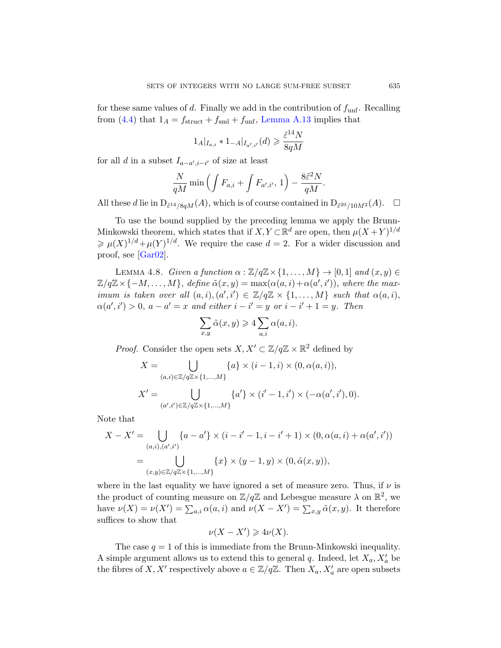for these same values of d. Finally we add in the contribution of  $f_{\text{unf}}$ . Recalling from (4.4) that  $1_A = f_{struct} + f_{sml} + f_{unf}$ , Lemma A.13 implies that

$$
1_A|_{I_{a,i}} * 1_{-A}|_{I_{a',i'}}(d) \ge \frac{\tilde{\varepsilon}^{14}N}{8qM}
$$

for all d in a subset  $I_{a-a',i-i'}$  of size at least

$$
\frac{N}{qM}\min\left(\int F_{a,i} + \int F_{a',i'}, 1\right) - \frac{8\tilde{\varepsilon}^2 N}{qM}.
$$

<span id="page-14-0"></span>All these d lie in  $D_{\tilde{\varepsilon}^{14}/8qM}(A)$ , which is of course contained in  $D_{\tilde{\varepsilon}^{20}/10M^2}(A)$ .  $\square$ 

To use the bound supplied by the preceding lemma we apply the Brunn-Minkowski theorem, which states that if  $X, Y \subset \mathbb{R}^d$  are open, then  $\mu(X+Y)^{1/d}$  $\geq \mu(X)^{1/d} + \mu(Y)^{1/d}$ . We require the case  $d = 2$ . For a wider discussion and proof, see [Gar02].

LEMMA 4.8. Given a function  $\alpha : \mathbb{Z}/q\mathbb{Z} \times \{1, \ldots, M\} \to [0, 1]$  and  $(x, y) \in$  $\mathbb{Z}/q\mathbb{Z} \times \{-M,\ldots,M\},$  define  $\tilde{\alpha}(x,y) = \max(\alpha(a,i) + \alpha(a',i'))$ , where the maximum is taken over all  $(a, i), (a', i') \in \mathbb{Z}/q\mathbb{Z} \times \{1, ..., M\}$  such that  $\alpha(a, i)$ ,  $\alpha(a',i') > 0$ ,  $a - a' = x$  and either  $i - i' = y$  or  $i - i' + 1 = y$ . Then

$$
\sum_{x,y} \tilde{\alpha}(x,y) \geqslant 4 \sum_{a,i} \alpha(a,i).
$$

*Proof.* Consider the open sets  $X, X' \subset \mathbb{Z}/q\mathbb{Z} \times \mathbb{R}^2$  defined by

$$
X = \bigcup_{(a,i)\in \mathbb{Z}/q\mathbb{Z}\times\{1,\dots,M\}} \{a\} \times (i-1,i) \times (0,\alpha(a,i)),
$$
  

$$
X' = \bigcup_{(a',i')\in \mathbb{Z}/q\mathbb{Z}\times\{1,\dots,M\}} \{a'\} \times (i'-1,i') \times (-\alpha(a',i'),0).
$$

Note that

$$
X - X' = \bigcup_{(a,i),(a',i')} \{a - a'\} \times (i - i' - 1, i - i' + 1) \times (0, \alpha(a,i) + \alpha(a',i'))
$$
  
= 
$$
\bigcup_{(x,y) \in \mathbb{Z}/q\mathbb{Z} \times \{1,\dots,M\}} \{x\} \times (y - 1, y) \times (0, \tilde{\alpha}(x, y)),
$$

where in the last equality we have ignored a set of measure zero. Thus, if  $\nu$  is the product of counting measure on  $\mathbb{Z}/q\mathbb{Z}$  and Lebesgue measure  $\lambda$  on  $\mathbb{R}^2$ , we have  $\nu(X) = \nu(X') = \sum_{a,i} \alpha(a,i)$  and  $\nu(X - X') = \sum_{x,y} \tilde{\alpha}(x,y)$ . It therefore suffices to show that

$$
\nu(X - X') \geq 4\nu(X).
$$

The case  $q = 1$  of this is immediate from the Brunn-Minkowski inequality. A simple argument allows us to extend this to general  $q$ . Indeed, let  $X_a, X'_a$  be the fibres of X, X' respectively above  $a \in \mathbb{Z}/q\mathbb{Z}$ . Then  $X_a, X'_a$  are open subsets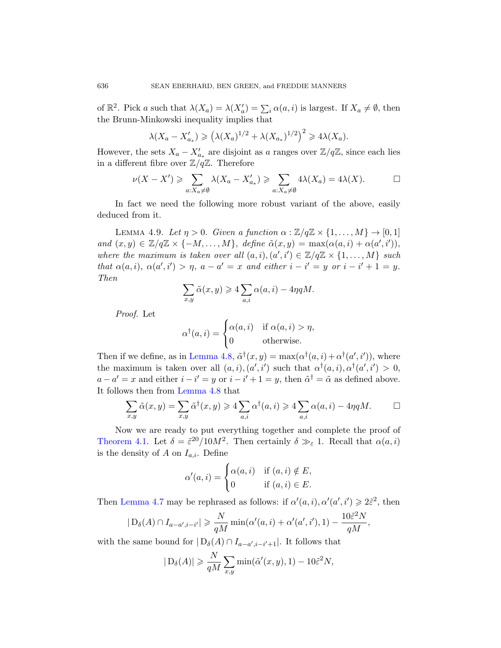of  $\mathbb{R}^2$ . Pick a such that  $\lambda(X_a) = \lambda(X'_a) = \sum_i \alpha(a, i)$  is largest. If  $X_a \neq \emptyset$ , then the Brunn-Minkowski inequality implies that

$$
\lambda(X_a - X'_{a_*}) \geqslant \left(\lambda(X_a)^{1/2} + \lambda(X_{a_*})^{1/2}\right)^2 \geqslant 4\lambda(X_a).
$$

<span id="page-15-0"></span>However, the sets  $X_a - X'_{a_*}$  are disjoint as a ranges over  $\mathbb{Z}/q\mathbb{Z}$ , since each lies in a different fibre over  $\mathbb{Z}/q\mathbb{Z}$ . Therefore

$$
\nu(X - X') \geqslant \sum_{a: X_a \neq \emptyset} \lambda(X_a - X'_{a_*}) \geqslant \sum_{a: X_a \neq \emptyset} 4\lambda(X_a) = 4\lambda(X).
$$

In fact we need the following more robust variant of the above, easily deduced from it.

LEMMA 4.9. Let  $\eta > 0$ . Given a function  $\alpha : \mathbb{Z}/q\mathbb{Z} \times \{1, ..., M\} \to [0, 1]$ and  $(x, y) \in \mathbb{Z}/q\mathbb{Z} \times \{-M, \ldots, M\}$ , define  $\tilde{\alpha}(x, y) = \max(\alpha(a, i) + \alpha(a', i')),$ where the maximum is taken over all  $(a, i), (a', i') \in \mathbb{Z}/q\mathbb{Z} \times \{1, ..., M\}$  such that  $\alpha(a,i)$ ,  $\alpha(a',i') > \eta$ ,  $a - a' = x$  and either  $i - i' = y$  or  $i - i' + 1 = y$ . [Then](#page-14-0)

$$
\sum_{x,y}\tilde{\alpha}(x,y) \geqslant 4\sum_{a,i}\alpha(a,i) - 4\eta qM.
$$

[Proo](#page-14-0)f. Let

$$
\alpha^{\dagger}(a,i) = \begin{cases} \alpha(a,i) & \text{if } \alpha(a,i) > \eta, \\ 0 & \text{otherwise.} \end{cases}
$$

Then if we define, as in Lemma 4.8,  $\tilde{\alpha}^{\dagger}(x, y) = \max(\alpha^{\dagger}(a, i) + \alpha^{\dagger}(a', i'))$ , where the maximum is taken over all  $(a, i), (a', i')$  such that  $\alpha^{\dagger}(a, i), \alpha^{\dagger}(a', i') > 0$ ,  $a - a' = x$  and either  $i - i' = y$  or  $i - i' + 1 = y$ , then  $\tilde{\alpha}^{\dagger} = \tilde{\alpha}$  as defined above. It follows then from Lemma 4.8 that

$$
\sum_{x,y} \tilde{\alpha}(x,y) = \sum_{x,y} \tilde{\alpha}^{\dagger}(x,y) \geq 4 \sum_{a,i} \alpha^{\dagger}(a,i) \geq 4 \sum_{a,i} \alpha(a,i) - 4\eta qM. \qquad \Box
$$

Now we are ready to put everything together and complete the proof of Theorem 4.1. Let  $\delta = \tilde{\varepsilon}^{20}/10M^2$ . Then certainly  $\delta \gg_{\varepsilon} 1$ . Recall that  $\alpha(a, i)$ is the density of A on  $I_{a,i}$ . Define

$$
\alpha'(a,i) = \begin{cases} \alpha(a,i) & \text{if } (a,i) \notin E, \\ 0 & \text{if } (a,i) \in E. \end{cases}
$$

Then Lemma 4.7 may be rephrased as follows: if  $\alpha'(a, i), \alpha'(a', i') \geq 2\tilde{\epsilon}^2$ , then

$$
|D_{\delta}(A) \cap I_{a-a',i-i'}| \geq \frac{N}{qM} \min(\alpha'(a,i) + \alpha'(a',i'), 1) - \frac{10\tilde{\varepsilon}^2 N}{qM},
$$

with the same bound for  $|D_{\delta}(A) \cap I_{a-a',i-i'+1}|$ . It follows that

$$
|D_{\delta}(A)| \geq \frac{N}{qM} \sum_{x,y} \min(\tilde{\alpha}'(x,y), 1) - 10\tilde{\varepsilon}^2 N,
$$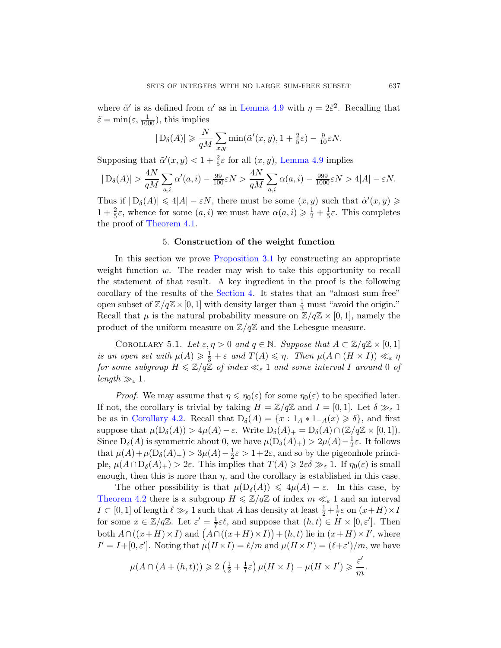where  $\tilde{\alpha}'$  is as defined from  $\alpha'$  as in Lemma 4.9 with  $\eta = 2\tilde{\varepsilon}^2$ . Recalling that  $\tilde{\varepsilon} = \min(\varepsilon, \frac{1}{1000}),$  this implies

$$
|D_{\delta}(A)| \geq \frac{N}{qM} \sum_{x,y} \min(\tilde{\alpha}'(x,y), 1 + \frac{2}{5}\varepsilon) - \frac{9}{10}\varepsilon N.
$$

<span id="page-16-1"></span>[Su](#page-8-2)pposing that  $\tilde{\alpha}'(x, y) < 1 + \frac{2}{5}\varepsilon$  for all  $(x, y)$ , Lemma 4.9 implies

$$
|D_{\delta}(A)| > \frac{4N}{qM} \sum_{a,i} \alpha'(a,i) - \frac{99}{100} \varepsilon N > \frac{4N}{qM} \sum_{a,i} \alpha(a,i) - \frac{999}{1000} \varepsilon N > 4|A| - \varepsilon N.
$$

Thus if  $|D_{\delta}(A)| \leq 4|A| - \varepsilon N$ , there must be some  $(x, y)$  such that  $\tilde{\alpha}'(x, y) \geq$  $1 + \frac{2}{5}\varepsilon$ , whence for some  $(a, i)$  we must have  $\alpha(a, i) \geq \frac{1}{2} + \frac{1}{5}$  $\frac{1}{5}\varepsilon$ . This completes the proof of [Theo](#page-8-0)rem 4.1.

## 5. Construction of the weight function

<span id="page-16-0"></span>In this section we prove Proposition 3.1 by constructing an appropriate weight function  $w$ . The reader may wish to take this opportunity to recall the statement of that result. A key ingredient in the proof is the following corollary of the results of the Section 4. It states that an "almost sum-free" open subset of  $\mathbb{Z}/q\mathbb{Z} \times [0, 1]$  with density larger than  $\frac{1}{3}$  must "avoid the origin." Recall that  $\mu$  is the natural probability measure on  $\mathbb{Z}/q\mathbb{Z} \times [0,1]$ , namely the product of the uniform measure on  $\mathbb{Z}/q\mathbb{Z}$  and the Lebesgue measure.

COROLLARY 5.1. Let  $\varepsilon, \eta > 0$  and  $q \in \mathbb{N}$ . Suppose that  $A \subset \mathbb{Z}/q\mathbb{Z} \times [0,1]$ is an open set with  $\mu(A) \geq \frac{1}{3} + \varepsilon$  and  $T(A) \leq \eta$ . Then  $\mu(A \cap (H \times I)) \ll_{\varepsilon} \eta$ for some subgroup  $H \leq \mathbb{Z}/q\mathbb{Z}$  of index  $\ll_{\varepsilon} 1$  and some interval I around 0 of length  $\gg_{\varepsilon} 1$ .

*Proof.* We may assume that  $\eta \leq \eta_0(\varepsilon)$  for some  $\eta_0(\varepsilon)$  to be specified later. If not, the corollary is trivial by taking  $H = \mathbb{Z}/q\mathbb{Z}$  and  $I = [0,1]$ . Let  $\delta \gg_{\varepsilon} 1$ be as in Corollary 4.2. Recall that  $D_{\delta}(A) = \{x : 1_A * 1_{-A}(x) \geq \delta\}$ , and first suppose that  $\mu(D_{\delta}(A)) > 4\mu(A) - \varepsilon$ . Write  $D_{\delta}(A)_{+} = D_{\delta}(A) \cap (\mathbb{Z}/q\mathbb{Z} \times [0,1]).$ Since  $D_{\delta}(A)$  is symmetric about 0, we have  $\mu(D_{\delta}(A)_{+}) > 2\mu(A) - \frac{1}{2}$  $\frac{1}{2}\varepsilon$ . It follows that  $\mu(A) + \mu(D_{\delta}(A)) > 3\mu(A) - \frac{1}{2}$  $\frac{1}{2}\varepsilon > 1+2\varepsilon$ , and so by the pigeonhole principle,  $\mu(A \cap D_{\delta}(A)_+) > 2\varepsilon$ . This implies that  $T(A) \geq 2\varepsilon \delta \gg_{\varepsilon} 1$ . If  $\eta_0(\varepsilon)$  is small enough, then this is more than  $\eta$ , and the corollary is established in this case.

The other possibility is that  $\mu(D_{\delta}(A)) \leq 4\mu(A) - \varepsilon$ . In this case, by Theorem 4.2 there is a subgroup  $H \leq \mathbb{Z}/q\mathbb{Z}$  of index  $m \ll_{\varepsilon} 1$  and an interval  $I \subset [0,1]$  of length  $\ell \gg_{\varepsilon} 1$  such that  $A$  has density at least  $\frac{1}{2} + \frac{1}{7}$  $\frac{1}{7}\varepsilon$  on  $(x+H) \times I$ for some  $x \in \mathbb{Z}/q\mathbb{Z}$ . Let  $\varepsilon' = \frac{1}{7}$  $\frac{1}{7}\varepsilon\ell$ , and suppose that  $(h, t) \in H \times [0, \varepsilon']$ . Then both  $A \cap ((x+H) \times I)$  and  $(A \cap ((x+H) \times I)) + (h,t)$  lie in  $(x+H) \times I'$ , where  $I' = I + [0, \varepsilon']$ . Noting that  $\mu(H \times I) = \ell/m$  and  $\mu(H \times I') = (\ell + \varepsilon')/m$ , we have

$$
\mu(A\cap (A+(h,t)))\geqslant 2\,\left(\tfrac{1}{2}+\tfrac{1}{7}\varepsilon\right)\mu(H\times I)-\mu(H\times I')\geqslant \frac{\varepsilon'}{m}.
$$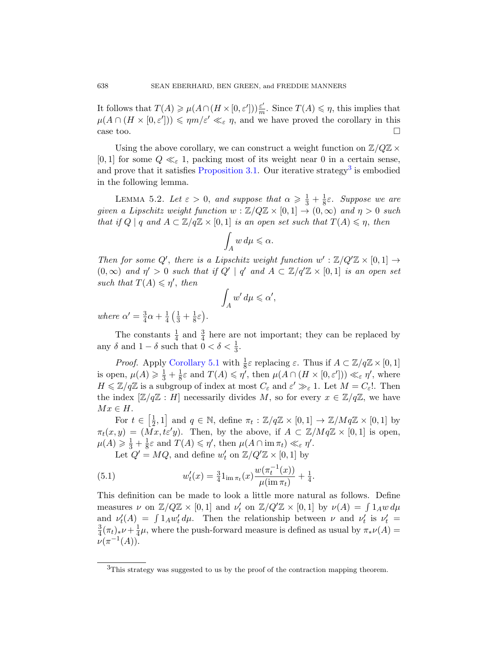<span id="page-17-0"></span>It [follows that](#page-4-0)  $T(A) \geq \mu(A \cap (H \times [0, \varepsilon])) \frac{\varepsilon'}{m}$  $\frac{\varepsilon'}{m}$ . Since  $T(A) \leq \eta$ , this implies that  $\mu(A \cap (H \times [0, \varepsilon])) \leqslant \eta m/\varepsilon' \ll_{\varepsilon} \eta$ , and we have proved the corollary in this case too.  $\Box$ 

Using the above corollary, we can construct a weight function on  $\mathbb{Z}/Q\mathbb{Z} \times$ [0, 1] for some  $Q \ll_{\varepsilon} 1$ , packing most of its weight near 0 in a certain sense, and prove that it satisfies Proposition 3.1. Our iterative strategy<sup>3</sup> is embodied in the following lemma.

LEMMA 5.2. Let  $\varepsilon > 0$ , and suppose that  $\alpha \geqslant \frac{1}{3} + \frac{1}{8}$  $\frac{1}{8}\varepsilon$ . Suppose we are given a Lipschitz weight function  $w : \mathbb{Z}/Q\mathbb{Z} \times [0,1] \to (0,\infty)$  and  $\eta > 0$  such that if  $Q \mid q$  and  $A \subset \mathbb{Z}/q\mathbb{Z} \times [0,1]$  is an open set such that  $T(A) \leq \eta$ , then

$$
\int_A w \, d\mu \leqslant \alpha.
$$

Then for some Q', there is a Lipschitz weight function  $w' : \mathbb{Z}/Q'\mathbb{Z} \times [0,1] \rightarrow$  $(0, \infty)$  and  $\eta' > 0$  such that if  $Q' | q'$  and  $A \subset \mathbb{Z}/q'\mathbb{Z} \times [0, 1]$  is an open set [such that](#page-16-0)  $T(A) \leqslant \eta'$ , then

$$
\int_A w' \, d\mu \leqslant \alpha',
$$

where  $\alpha' = \frac{3}{4}$  $\frac{3}{4}\alpha + \frac{1}{4}$  $rac{1}{4}$  $rac{1}{3}$  +  $rac{1}{8}$  $rac{1}{8}\varepsilon$ .

The constants  $\frac{1}{4}$  and  $\frac{3}{4}$  here are not important; they can be replaced by any  $\delta$  and  $1 - \delta$  such that  $0 < \delta < \frac{1}{3}$ .

*Proof.* Apply Corollary 5.1 with  $\frac{1}{8}\varepsilon$  replacing  $\varepsilon$ . Thus if  $A \subset \mathbb{Z}/q\mathbb{Z} \times [0,1]$ is open,  $\mu(A) \geq \frac{1}{3} + \frac{1}{8}$  $\frac{1}{8}\varepsilon$  and  $T(A) \leqslant \eta'$ , then  $\mu(A \cap (H \times [0, \varepsilon']) \ll_{\varepsilon} \eta'$ , where  $H \leq \mathbb{Z}/q\mathbb{Z}$  is a subgroup of index at most  $C_{\varepsilon}$  and  $\varepsilon' \gg_{\varepsilon} 1$ . Let  $M = C_{\varepsilon}!$ . Then the index  $[\mathbb{Z}/q\mathbb{Z}:H]$  necessarily divides M, so for every  $x \in \mathbb{Z}/q\mathbb{Z}$ , we have  $Mx \in H$ .

For  $t \in \left[\frac{1}{2}\right]$  $\frac{1}{2}$ , 1] and  $q \in \mathbb{N}$ , define  $\pi_t : \mathbb{Z}/q\mathbb{Z} \times [0,1] \to \mathbb{Z}/Mq\mathbb{Z} \times [0,1]$  by  $\pi_t(x, y) = (\tilde{M}x, t\varepsilon'y)$ . Then, by the above, if  $A \subset \mathbb{Z}/Mq\mathbb{Z} \times [0, 1]$  is open,  $\mu(A) \geq \frac{1}{3} + \frac{1}{8}$  $\frac{1}{8}\varepsilon$  and  $T(A) \leqslant \eta'$ , then  $\mu(A \cap \text{im }\pi_t) \ll_{\varepsilon} \eta'$ .

Let  $Q' = MQ$ , and define  $w'_t$  on  $\mathbb{Z}/Q'\mathbb{Z} \times [0,1]$  by

(5.1) 
$$
w'_t(x) = \frac{3}{4} \mathbb{1}_{\mathrm{im}\,\pi_t}(x) \frac{w(\pi_t^{-1}(x))}{\mu(\mathrm{im}\,\pi_t)} + \frac{1}{4}.
$$

<span id="page-17-1"></span>This definition can be made to look a little more natural as follows. Define measures  $\nu$  on  $\mathbb{Z}/Q\mathbb{Z} \times [0,1]$  and  $\nu'_t$  on  $\mathbb{Z}/Q'\mathbb{Z} \times [0,1]$  by  $\nu(A) = \int 1_A w \, d\mu$ and  $\nu'_t(A) = \int 1_A w'_t d\mu$ . Then the relationship between  $\nu$  and  $\nu'_t$  is  $\nu'_t =$ 3  $\frac{3}{4}(\pi_t)_*\nu + \frac{1}{4}$  $\frac{1}{4}\mu$ , where the push-forward measure is defined as usual by  $\pi_*\nu(A)$  =  $\nu(\pi^{-1}(A)).$ 

<sup>&</sup>lt;sup>3</sup>This strategy was suggested to us by the proof of the contraction mapping theorem.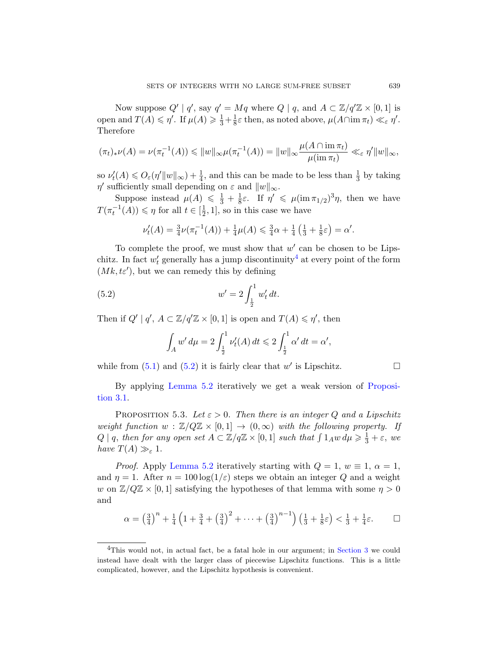Now suppose  $Q' | q'$ , say  $q' = Mq$  where  $Q | q$ , and  $A \subset \mathbb{Z}/q'\mathbb{Z} \times [0,1]$  is open and  $T(A) \leq \eta'$ . If  $\mu(A) \geq \frac{1}{3} + \frac{1}{8}$  $\frac{1}{8}\varepsilon$  then, as noted above,  $\mu(A \cap \text{im } \pi_t) \ll_{\varepsilon} \eta'$ . Therefore

$$
(\pi_t)_*\nu(A) = \nu(\pi_t^{-1}(A)) \leq \|w\|_{\infty} \mu(\pi_t^{-1}(A)) = \|w\|_{\infty} \frac{\mu(A \cap \operatorname{im} \pi_t)}{\mu(\operatorname{im} \pi_t)} \ll_{\varepsilon} \eta' \|w\|_{\infty},
$$

so  $\nu'_{t}(A) \leq 0_{\varepsilon}(\eta'||w||_{\infty}) + \frac{1}{4}$ , and this can be made to be less than  $\frac{1}{3}$  by taking  $\eta'$  sufficiently small depend[in](#page-18-0)g on  $\varepsilon$  and  $||w||_{\infty}$ .

Suppose instead  $\mu(A) \leq \frac{1}{3} + \frac{1}{8}$  $\frac{1}{8}\varepsilon$ . If  $\eta' \leq \mu(\text{im }\pi_{1/2})^3\eta$ , then we have  $T(\pi_t^{-1}(A)) \leq \eta$  for all  $t \in [\frac{1}{2}]$  $(\frac{1}{2}, 1]$ , so in this case we have

<span id="page-18-1"></span>
$$
\nu'_t(A) = \frac{3}{4}\nu(\pi_t^{-1}(A)) + \frac{1}{4}\mu(A) \leq \frac{3}{4}\alpha + \frac{1}{4}\left(\frac{1}{3} + \frac{1}{8}\varepsilon\right) = \alpha'.
$$

To complete the proof, we must show that  $w'$  can be chosen to be Lipschitz. In fact  $w'_t$  generally has a jump discontinuity<sup>4</sup> at every point of the form  $(Mk, t\varepsilon')$ , but we can remedy this by defining

(5.2) 
$$
w' = 2 \int_{\frac{1}{2}}^{1} w'_t dt.
$$

<span id="page-18-2"></span>[Then if](#page-17-0)  $Q' | q'$ ,  $A \subset \mathbb{Z}/q'\mathbb{Z} \times [0,1]$  is open and  $T(A) \leq \eta'$ , then

$$
\int_A w' d\mu = 2 \int_{\frac{1}{2}}^1 \nu'_t(A) dt \leq 2 \int_{\frac{1}{2}}^1 \alpha' dt = \alpha',
$$

while from  $(5.1)$  and  $(5.2)$  it is fairly clear that w' is Lipschitz.

By applying Lemma 5.2 iteratively we get a weak version of Proposi[tion 3.1](#page-17-0).

PROPOSITION 5.3. Let  $\varepsilon > 0$ . Then there is an integer Q and a Lipschitz weight function  $w : \mathbb{Z}/Q\mathbb{Z} \times [0,1] \to (0,\infty)$  with the following property. If  $Q \mid q$ , then for any open set  $A \subset \mathbb{Z}/q\mathbb{Z} \times [0,1]$  such that  $\int 1_A w d\mu \geq \frac{1}{3} + \varepsilon$ , we have  $T(A) \gg_{\varepsilon} 1$ .

<span id="page-18-0"></span>*Proof.* Apply Lemma 5.2 iteratively starting with  $Q = 1$ ,  $w \equiv 1$ ,  $\alpha = 1$ , and  $\eta = 1$ . After  $n = 100 \log(1/\varepsilon)$  ste[ps we ob](#page-3-0)tain an integer Q and a weight w on  $\mathbb{Z}/Q\mathbb{Z} \times [0,1]$  satisfying the hypotheses of that lemma with some  $\eta > 0$ and

$$
\alpha = \left(\frac{3}{4}\right)^n + \frac{1}{4}\left(1 + \frac{3}{4} + \left(\frac{3}{4}\right)^2 + \dots + \left(\frac{3}{4}\right)^{n-1}\right)\left(\frac{1}{3} + \frac{1}{8}\varepsilon\right) < \frac{1}{3} + \frac{1}{4}\varepsilon. \qquad \Box
$$

 ${}^{4}$ This would not, in actual fact, be a fatal hole in our argument; in Section 3 we could instead have dealt with the larger class of piecewise Lipschitz functions. This is a little complicated, however, and the Lipschitz hypothesis is convenient.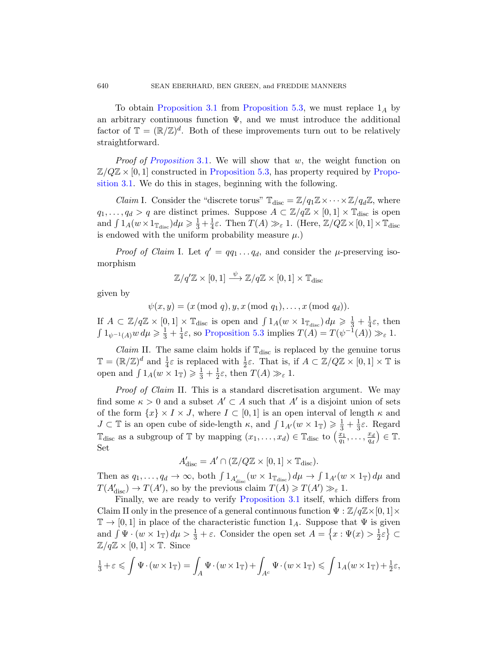[To obtain](#page-18-2) Proposition 3.1 from Propositio[n 5.3, w](#page-4-0)e must replace  $1_A$  by an arbitrary continuous function  $\Psi$ , and we must introduce the additional factor of  $\mathbb{T} = (\mathbb{R}/\mathbb{Z})^d$ . Both of these improvements turn out to be relatively straightforward.

*Proof of Proposition* 3.1. We will show that  $w$ , the weight function on  $\mathbb{Z}/Q\mathbb{Z} \times [0,1]$  constructed in Proposition 5.3, has property required by Proposition 3.1. We do this in stages, beginning with the following.

*Claim* I. Consider the "discrete torus"  $\mathbb{T}_{disc} = \mathbb{Z}/q_1\mathbb{Z} \times \cdots \times \mathbb{Z}/q_d\mathbb{Z}$ , where  $q_1, \ldots, q_d > q$  are distinct primes. Suppose  $A \subset \mathbb{Z}/q\mathbb{Z} \times [0,1] \times \mathbb{T}_{\text{disc}}$  is open and  $\int 1_A(w \times 1_{\mathbb{T}_{\text{disc}}})d\mu \geq \frac{1}{3} + \frac{1}{4}$  $\frac{1}{4}\varepsilon$ . Then  $T(A) \gg_{\varepsilon} 1$ . (Here,  $\mathbb{Z}/Q\mathbb{Z} \times [0,1] \times \mathbb{T}_{\text{disc}}$ is endowed with the uniform probability measure  $\mu$ .)

*Proof of Claim I.* Let  $q' = qq_1 \ldots q_d$ , and consider the  $\mu$ -preserving isomor[phism](#page-18-2)

$$
\mathbb{Z}/q'\mathbb{Z} \times [0,1] \xrightarrow{\psi} \mathbb{Z}/q\mathbb{Z} \times [0,1] \times \mathbb{T}_{\text{disc}}
$$

given by

 $\psi(x, y) = (x \pmod{q}, y, x \pmod{q_1}, \ldots, x \pmod{q_d}).$ 

If  $A \subset \mathbb{Z}/q\mathbb{Z} \times [0,1] \times \mathbb{T}_{\text{disc}}$  is open and  $\int 1_A(w \times 1_{\mathbb{T}_{\text{disc}}}) d\mu \geq \frac{1}{3} + \frac{1}{4}$  $rac{1}{4}\varepsilon$ , then  $\int 1_{\psi^{-1}(A)} w \, d\mu \geq \frac{1}{3} + \frac{1}{4}$  $\frac{1}{4}\varepsilon$ , so Proposition 5.3 implies  $T(A) = T(\psi^{-1}(A)) \gg_{\varepsilon} 1$ .

*Claim* II. The same claim holds if  $\mathbb{T}_{disc}$  is replaced by the genuine torus  $\mathbb{T} = (\mathbb{R}/\mathbb{Z})^d$  and  $\frac{1}{4}\varepsilon$  is replaced with  $\frac{1}{2}\varepsilon$ . That is, if  $A \subset \mathbb{Z}/Q\mathbb{Z} \times [0,1] \times \mathbb{T}$  is open and  $\int 1_A(w \times 1_{\mathbb{T}}) \geq \frac{1}{3} + \frac{1}{2}$  $\frac{1}{2}\varepsilon$ , then  $T(A) \gg_{\varepsilon} 1$ .

Proof of Claim II. This is a standard discretisation argument. We may find some  $\kappa > 0$  and a subset  $A' \subset A$  such that  $A'$  is a disjoint union of sets of the form  $\{x\} \times I \times J$ , where  $I \subset [0,1]$  is an open interval of length  $\kappa$  and  $J \subset \mathbb{T}$  is an [open cube of side](#page-4-0)-length  $\kappa$ , and  $\int 1_{A'}(w \times 1_{\mathbb{T}}) \geq \frac{1}{3} + \frac{1}{3}$  $\frac{1}{3}$ ε. Regard  $\mathbb{T}_{\text{disc}}$  as a subgroup of  $\mathbb{T}$  by mapping  $(x_1, \ldots, x_d) \in \mathbb{T}_{\text{disc}}$  to  $\left(\frac{x_1}{a_1}\right)$  $\frac{x_1}{q_1}, \ldots, \frac{x_d}{q_d}$  $\frac{x_d}{q_d}$ )  $\in \mathbb{T}$ . Set

$$
A'_{\rm disc} = A' \cap (\mathbb{Z}/Q\mathbb{Z} \times [0,1] \times \mathbb{T}_{\rm disc}).
$$

Then as  $q_1, \ldots, q_d \to \infty$ , both  $\int 1_{A'_{\text{disc}}} (w \times 1_{\mathbb{T}_{\text{disc}}}) d\mu \to \int 1_{A'} (w \times 1_{\mathbb{T}}) d\mu$  and  $T(A'_{\text{disc}}) \to T(A')$ , so by the previous claim  $T(A) \geq T(A') \geq \varepsilon 1$ .

Finally, we are ready to verify Proposition 3.1 itself, which differs from Claim II only in the presence of a general continuous function  $\Psi : \mathbb{Z}/q\mathbb{Z} \times [0,1] \times$  $\mathbb{T} \to [0,1]$  in place of the characteristic function  $1_A$ . Suppose that  $\Psi$  is given and  $\int \Psi \cdot (w \times 1_{\mathbb{T}}) d\mu > \frac{1}{3} + \varepsilon$ . Consider the open set  $A = \{x : \Psi(x) > \frac{1}{2}\}$  $\frac{1}{2}\varepsilon$   $\Big\}$   $\subset$  $\mathbb{Z}/q\mathbb{Z} \times [0,1] \times \mathbb{T}$ . Since

$$
\frac{1}{3} + \varepsilon \leqslant \int \Psi \cdot (w \times 1_{\mathbb{T}}) = \int_{A} \Psi \cdot (w \times 1_{\mathbb{T}}) + \int_{A^c} \Psi \cdot (w \times 1_{\mathbb{T}}) \leqslant \int 1_{A} (w \times 1_{\mathbb{T}}) + \frac{1}{2} \varepsilon,
$$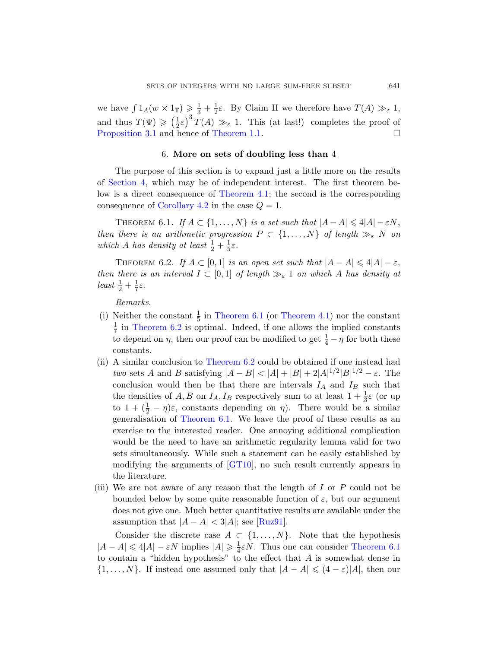<span id="page-20-0"></span>we have  $\int 1_A(w \times 1_{\mathbb{T}}) \geq \frac{1}{3} + \frac{1}{2}$  $\frac{1}{2}\varepsilon$ . By Claim II we therefore have  $T(A) \gg_{\varepsilon} 1$ , and thus  $T(\Psi) \geqslant \left(\frac{1}{2}\right)$  $(\frac{1}{2}\varepsilon)^3 T(A) \gg_{\varepsilon} 1$ . This (at last!) completes the proof of [Propo](#page-8-1)sition 3.1 and hence of Theorem 1.1.

## 6. More on sets of doubling less than 4

<span id="page-20-2"></span><span id="page-20-1"></span>The purpose of this section is to expand just a little more on the results of Section 4, which may be of independent interest. The first theorem below is a direct consequence of Theorem 4.1; the second is the corresponding consequence of Corollary 4.2 in the case  $Q = 1$ .

THEOREM 6.1. If  $A \subset \{1, ..., N\}$  is a set such that  $|A - A| \leq 4|A| - \varepsilon N$ , then there is an arithmetic progression  $P \subset \{1, \ldots, N\}$  of length  $\gg_{\varepsilon} N$  on which A [has density](#page-20-1) at [least](#page-8-2)  $\frac{1}{2} + \frac{1}{5}$  $rac{1}{5}\varepsilon$ .

THEOREM 6.2. If  $A \subset [0,1]$  is an open set such that  $|A - A| \leq 4|A| - \varepsilon$ , then there is an interval  $I \subset [0,1]$  of length  $\gg_{\varepsilon} 1$  on which A has density at  $least\frac{1}{2}+\frac{1}{7}$  $least\frac{1}{2}+\frac{1}{7}$  $least\frac{1}{2}+\frac{1}{7}$  $\frac{1}{7}\varepsilon$ .

Remarks.

- (i) Neither the constant  $\frac{1}{5}$  in Theorem 6.1 (or Theorem 4.1) nor the constant 1  $\frac{1}{7}$  in Theorem 6.2 is optimal. Indeed, if one allows the implied constants to depend on  $\eta$ , then our proof can be modified to get  $\frac{1}{4} - \eta$  for both these [constan](#page-20-1)ts.
- (ii) A similar conclusion to Theorem 6.2 could be obtained if one instead had two sets A and B satisfying  $|A - B| < |A| + |B| + 2|A|^{1/2}|B|^{1/2} - \varepsilon$ . The conclusion would then be that there are intervals  $I_A$  and  $I_B$  such that the de[nsities](#page-30-4) of  $A, B$  on  $I_A, I_B$  respectively sum to at least  $1 + \frac{1}{3}\varepsilon$  (or up to  $1 + (\frac{1}{2} - \eta)\varepsilon$ , constants depending on  $\eta$ ). There would be a similar generalisation of Theorem 6.1. We leave the proof of these results as an exercise to the interested reader. One annoying additional complication would be the need to have an arithmetic regularity lemma valid for two sets simultan[eously.](#page-30-7) While such a statement can be easily established by modifying the arguments of [GT10], no such result currently appears in the literature.
- (iii) We are not aware of any reason that the length of  $I$  or  $P$  could not be bounded below by some quite reasonable function of  $\varepsilon$ , but our argument does not give one. Much better quantitative results are available under the assumption that  $|A - A| < 3|A|$ ; see [Ruz91].

Consider the discrete case  $A \subset \{1, \ldots, N\}$ . Note that the hypothesis  $|A - A| \leq 4|A| - \varepsilon N$  implies  $|A| \geq \frac{1}{4}$  $\frac{1}{4}\varepsilon N$ . Thus one can consider Theorem 6.1 to contain a "hidden hypothesis" to the effect that A is somewhat dense in  $\{1,\ldots,N\}$ . If instead one assumed only that  $|A-A|\leqslant (4-\varepsilon)|A|$ , then our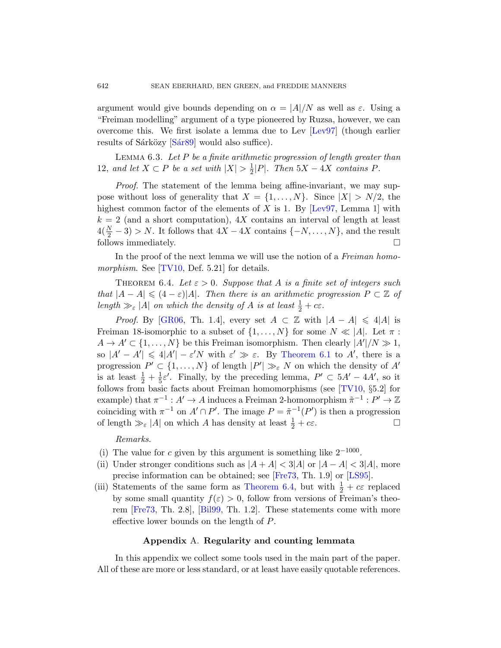argument would give bounds depending on  $\alpha = |A|/N$  as well as  $\varepsilon$ . Using a "Freiman modelling" argument of a type pioneered by Ruzsa, however, we can overcome this. We first isolate a lemma due to Lev [Lev97] (though earlier results of Sárközy [Sár89] woul[d also s](#page-30-8)uffice).

LEMMA  $6.3.$  Let P be a finite arithmetic progression of length greater than 12, and let  $X \subset P$  be a set with  $|X| > \frac{1}{2}$  $\frac{1}{2}|P|$ . Then  $5X - 4X$  contains P.

<span id="page-21-1"></span>Proof. The statement of the lemma being affine-invariant, we may suppose without loss of generality that  $X = \{1, \ldots, N\}$ . Since  $|X| > N/2$ , the highest common factor of the elements of  $X$  is 1. By [Lev97, Lemma 1] with  $k = 2$  (and a short computation),  $4X$  contains an interval of length at least  $4(\frac{N}{2}-3) > N$ . It follows that  $4X - 4X$  contains  $\{-N, \ldots, N\}$ , and the result follows immediately.  $\Box$ 

In the proof of the next lemma we will use the notion of a Freiman homomorphism. See [TV10, Def. 5.21] for details.

THEOREM 6.4. Let  $\varepsilon > 0$ . [Suppo](#page-20-1)se that A is a finite set of integers such that  $|A - A| \leq (4 - \varepsilon)|A|$ . Then there is an arithmetic progression  $P \subset \mathbb{Z}$  of length  $\gg_{\varepsilon}$  |A| on which the density of A is at least  $\frac{1}{2} + c\varepsilon$ .

*Proof.* By [GR06, Th. 1.4], ever[y set](#page-31-0)  $A \subset \mathbb{Z}$  with  $|A - A| \leq 4|A|$  is Freiman 18-isomorphic to a subset of  $\{1, \ldots, N\}$  for some  $N \ll |A|$ . Let  $\pi$ :  $A \to A' \subset \{1, \ldots, N\}$  be this Freiman isomorphism. Then clearly  $|A'|/N \gg 1$ , so  $|A'-A'|\leq 4|A'|- \varepsilon' N$  with  $\varepsilon' \gg \varepsilon$ . By Theorem 6.1 to A', there is a progression  $P' \subset \{1, ..., N\}$  of length  $|P'| \gg_{\varepsilon} N$  on which the density of A' is at least  $\frac{1}{2} + \frac{1}{5}$  $\frac{1}{5}\varepsilon'$ . Finally, by the preceding lemma,  $P' \subset 5A' - 4A'$ , so it follows from basic facts about Freiman homomorphisms (see [TV10, §5.2] for example) that  $\pi^{-1}: A' \to A$  induces a Fre[iman](#page-30-9) 2-homomorphism  $\tilde{\pi}^{-1}: P' \to \mathbb{Z}$ coinciding with  $\pi^{-1}$  on  $A' \cap P'$ . The image  $P = \tilde{\pi}^{-1}(P')$  is then a progression of length  $\gg_{\varepsilon}$  |A| [on which](#page-21-1) A has density at least  $\frac{1}{2} + c\varepsilon$ .

[Rem](#page-29-7)arks.

- (i) The value for c given by this argument is something like  $2^{-1000}$ .
- (ii) Under stronger conditions such as  $|A + A| < 3|A|$  or  $|A A| < 3|A|$ , more precise information can be obtained; see [Fre73, Th. 1.9] or [LS95].
- <span id="page-21-0"></span>(iii) Statements of the same form as Theorem 6.4, but with  $\frac{1}{2} + c\varepsilon$  replaced by some small quantity  $f(\varepsilon) > 0$ , follow from versions of Freiman's theorem [Fre73, Th. 2.8], [Bil99, Th. 1.2]. These statements come with more effective lower bounds on the length of P.

## Appendix A. Regularity and counting lemmata

In this appendix we collect some tools used in the main part of the paper. All of these are more or less standard, or at least have easily quotable references.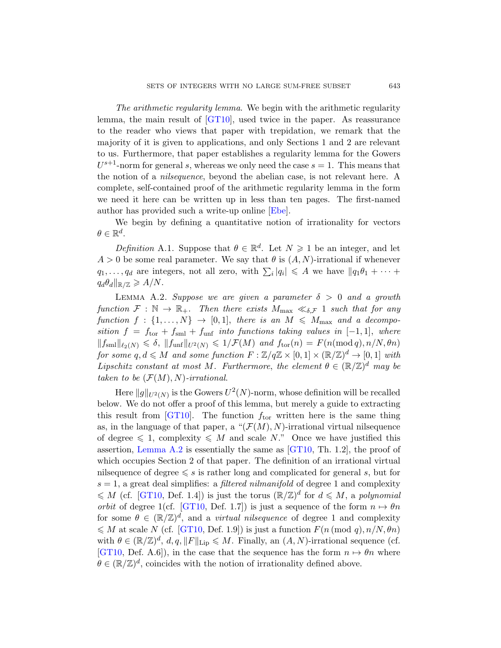The arithmetic regularity lemma. We begin with the arithmetic regularity lemma, the main result of [GT10], used twice in the paper. As reassurance to the reader who views that paper with trepidation, we remark that the majority of it is give[n to](#page-29-8) applications, and only Sections 1 and 2 are relevant to us. Furthermore, that paper establishes a regularity lemma for the Gowers  $U^{s+1}$ -norm for general s, whereas we only need the case  $s = 1$ . This means that the notion of a nilsequence, beyond the abelian case, is not relevant here. A complete, self-contained proof of the arithmetic regularity lemma in the form we need it here can be written up in less than ten pages. The first-named author has provided such a write-up online [Ebe].

<span id="page-22-0"></span>We begin by defining a quantitative notion of irrationality for vectors  $\theta \in \mathbb{R}^d$ .

Definition A.1. Suppose that  $\theta \in \mathbb{R}^d$ . Let  $N \geq 1$  be an integer, and let  $A > 0$  be some real parameter. We say that  $\theta$  is  $(A, N)$ -irrational if whenever  $q_1, \ldots, q_d$  are integers, not all zero, with  $\sum_i |q_i| \leq A$  we have  $||q_1\theta_1 + \cdots +$  $q_d\theta_d\|_{\mathbb{R}/\mathbb{Z}} \geqslant A/N.$ 

LEMMA A.2. Suppose we are given a parameter  $\delta > 0$  and a growth function  $\mathcal{F}: \mathbb{N} \to \mathbb{R}_+$ . Then there exists  $M_{\text{max}} \ll_{\delta,\mathcal{F}} 1$  such that for any function  $f : \{1, ..., N\} \rightarrow [0, 1]$ , there is an  $M \leq M_{\text{max}}$  and a decomposition  $f = f_{\text{tor}} + f_{\text{sml}} + f_{\text{unf}}$  into functions taking values in  $[-1, 1]$ , where  $||f_{\text{sm}}||_{\ell_2(N)} \leq \delta$ ,  $||f_{\text{unf}}||_{U^2(N)} \leq 1/\mathcal{F}(M)$  and  $f_{\text{tor}}(n) = F(n \pmod{q}, n/N, \theta n)$ for some  $q, d \leq M$  and some function  $F : \mathbb{Z}/q\mathbb{Z} \times [0,1] \times (\mathbb{R}/\mathbb{Z})^d \to [0,1]$  with Lipschitz constant at most M. Furthermore, the element  $\theta \in (\mathbb{R}/\mathbb{Z})^d$  may be taken to be  $(F(M), N)$ -ir[rationa](#page-30-4)l.

Here  $\|g\|_{U^2(N)}$  is the Gowers  $U^2(N)$ -norm, whose definition will be recalled below. We do not offer a proof of this lemma, but merely a guide to extracting this result from [GT10]. The function  $f_{\text{tor}}$  written here is the same thing as, in the language of that paper, a " $(\mathcal{F}(M), N)$ -irrational virtual nilsequence [of de](#page-30-4)gree  $\leq 1$ , complexity  $\leq M$  and scale N." Once we have justified this assertion, Lemma A.2 is essentially the same as  $[GT10, Th. 1.2]$ , the proof of [whic](#page-30-4)h occupies Section 2 of that paper. The definition of an irrational virtual nilsequence of degree  $\leq s$  is rather long and complicated for general s, but for  $s = 1$ , a great deal simplifies: a *filtered nilmanifold* of degree 1 and complexity  $\leqslant M$  (cf. [GT10, Def. 1.4]) is just the torus  $(\mathbb{R}/\mathbb{Z})^d$  for  $d \leqslant M$ , a polynomial *orbit* of degree 1(cf. [GT10, Def. 1.7]) is just a sequence of the form  $n \mapsto \theta n$ for some  $\theta \in (\mathbb{R}/\mathbb{Z})^d$ , and a *virtual nilsequence* of degree 1 and complexity  $\leqslant M$  at scale N (cf. [GT10, Def. 1.9]) is just a function  $F(n \pmod{q}, n/N, \theta n)$ with  $\theta \in (\mathbb{R}/\mathbb{Z})^d$ ,  $d, q, ||F||_{\text{Lip}} \leq M$ . Finally, an  $(A, N)$ -irrational sequence (cf. [GT10, Def. A.6]), in the case that the sequence has the form  $n \mapsto \theta n$  where  $\theta \in (\mathbb{R}/\mathbb{Z})^d$ , coincides with the notion of irrationality defined above.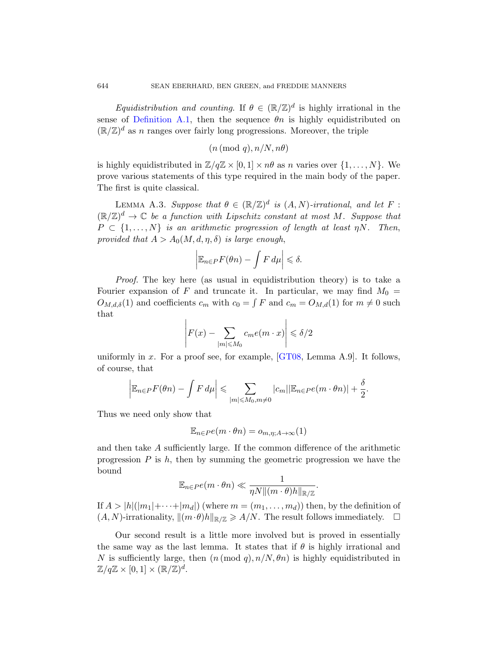<span id="page-23-0"></span>*Equidistribution and counting.* If  $\theta \in (\mathbb{R}/\mathbb{Z})^d$  is highly irrational in the sense of Definition A.1, then the sequence  $\theta_n$  is highly equidistributed on  $(\mathbb{R}/\mathbb{Z})^d$  as *n* ranges over fairly long progressions. Moreover, the triple

$$
(n \, (\text{mod } q), n/N, n\theta)
$$

is highly equidistributed in  $\mathbb{Z}/q\mathbb{Z} \times [0,1] \times n\theta$  as n varies over  $\{1,\ldots,N\}$ . We prove various statements of this type required in the main body of the paper. The first is quite classical.

LEMMA A.3. Suppose that  $\theta \in (\mathbb{R}/\mathbb{Z})^d$  is  $(A, N)$ -irrational, and let F:  $(\mathbb{R}/\mathbb{Z})^d \to \mathbb{C}$  be a function with Lipschitz constant at most M. Suppose that  $P \subset \{1, \ldots, N\}$  is an arithmetic progression of length at least  $\eta N$ . Then, provided that  $A > A_0(M, d, \eta, \delta)$  is large enough,

$$
\left|\mathbb{E}_{n\in P}F(\theta n)-\int F\,d\mu\right|\leqslant\delta.
$$

Proof. The key h[ere \(as](#page-30-10) usual in equidistribution theory) is to take a Fourier expansion of F and truncate it. In particular, we may find  $M_0 =$  $O_{M,d,\delta}(1)$  and coefficients  $c_m$  with  $c_0 = \int F$  and  $c_m = O_{M,d}(1)$  for  $m \neq 0$  such that

$$
\left| F(x) - \sum_{|m| \le M_0} c_m e(m \cdot x) \right| \le \delta/2
$$

uniformly in x. For a proof see, for example,  $[GT08, Lemma A.9]$ . It follows, of course, that

$$
\left|\mathbb{E}_{n\in P}F(\theta n)-\int F d\mu\right|\leqslant \sum_{|m|\leqslant M_0,m\neq 0}|c_m||\mathbb{E}_{n\in P}e(m\cdot\theta n)|+\frac{\delta}{2}.
$$

Thus we need only show that

$$
\mathbb{E}_{n \in P}e(m \cdot \theta n) = o_{m, \eta; A \to \infty}(1)
$$

and then take A sufficiently large. If the common difference of the arithmetic progression  $P$  is  $h$ , then by summing the geometric progression we have the bound

$$
\mathbb{E}_{n \in P} e(m \cdot \theta n) \ll \frac{1}{\eta N ||(m \cdot \theta)h||_{\mathbb{R}/\mathbb{Z}}}.
$$

If  $A > |h|(|m_1| + \cdots + |m_d|)$  (where  $m = (m_1, \ldots, m_d)$ ) then, by the definition of  $(A, N)$ -irrationality,  $\|(m \cdot \theta)h\|_{\mathbb{R}/\mathbb{Z}} \geq A/N$ . The result follows immediately.  $\square$ 

Our second result is a little more involved but is proved in essentially the same way as the last lemma. It states that if  $\theta$  is highly irrational and N is sufficiently large, then  $(n \pmod{q}, n/N, \theta n)$  is highly equidistributed in  $\mathbb{Z}/q\mathbb{Z} \times [0,1] \times (\mathbb{R}/\mathbb{Z})^d.$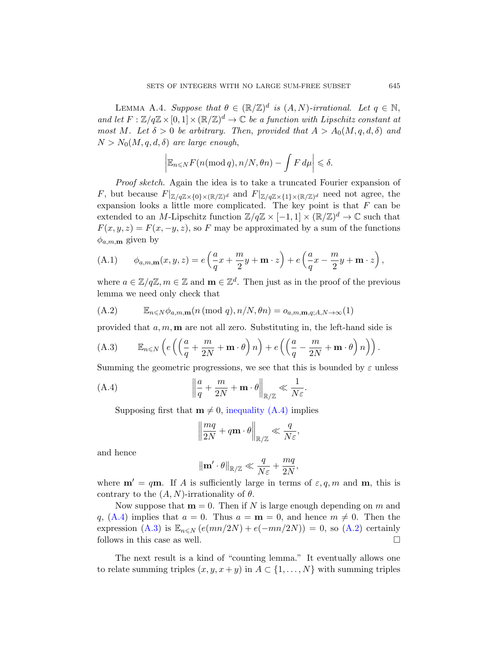<span id="page-24-0"></span>LEMMA A.4. Suppose that  $\theta \in (\mathbb{R}/\mathbb{Z})^d$  is  $(A, N)$ -irrational. Let  $q \in \mathbb{N}$ , and let  $F: \mathbb{Z}/q\mathbb{Z} \times [0,1] \times (\mathbb{R}/\mathbb{Z})^d \to \mathbb{C}$  be a function with Lipschitz constant at most M. Let  $\delta > 0$  be arbitrary. Then, provided that  $A > A_0(M, q, d, \delta)$  and  $N > N_0(M, q, d, \delta)$  are large enough,

$$
\left| \mathbb{E}_{n \leq N} F(n \pmod{q}, n/N, \theta n) - \int F d\mu \right| \leq \delta.
$$

<span id="page-24-3"></span>Proof sketch. Again the idea is to take a truncated Fourier expansion of F, but because  $F|_{\mathbb{Z}/q\mathbb{Z}\times\{0\}\times(\mathbb{R}/\mathbb{Z})^d}$  and  $F|_{\mathbb{Z}/q\mathbb{Z}\times\{1\}\times(\mathbb{R}/\mathbb{Z})^d}$  need not agree, the expansion looks a little more complicated. The key point is that  $F$  can be extended to an M-Lipschitz function  $\mathbb{Z}/q\mathbb{Z} \times [-1,1] \times (\mathbb{R}/\mathbb{Z})^d \to \mathbb{C}$  such that  $F(x, y, z) = F(x, -y, z)$ , so F may be approximated by a sum of the functions  $\phi_{a,m,m}$  given by

<span id="page-24-2"></span>(A.1) 
$$
\phi_{a,m,\mathbf{m}}(x,y,z) = e\left(\frac{a}{q}x + \frac{m}{2}y + \mathbf{m} \cdot z\right) + e\left(\frac{a}{q}x - \frac{m}{2}y + \mathbf{m} \cdot z\right),
$$

where  $a \in \mathbb{Z}/q\mathbb{Z}, m \in \mathbb{Z}$  and  $\mathbf{m} \in \mathbb{Z}^d$ . Then just as in the proof of the previous lemma we need only check that

<span id="page-24-1"></span>
$$
(A.2) \qquad \mathbb{E}_{n \leq N} \phi_{a,m,\mathbf{m}}(n \pmod{q}, n/N, \theta n) = o_{a,m,\mathbf{m},q;A,N \to \infty}(1)
$$

provided that  $a, m, m$  are not all zero. Substituting in, the left-hand side is

(A.3) 
$$
\mathbb{E}_{n \leq N} \left( e \left( \left( \frac{a}{q} + \frac{m}{2N} + \mathbf{m} \cdot \theta \right) n \right) + e \left( \left( \frac{a}{q} - \frac{m}{2N} + \mathbf{m} \cdot \theta \right) n \right) \right).
$$

Summing the geometric progressions, we see that this is bounded by  $\varepsilon$  unless

(A.4) 
$$
\left\| \frac{a}{q} + \frac{m}{2N} + \mathbf{m} \cdot \theta \right\|_{\mathbb{R}/\mathbb{Z}} \ll \frac{1}{N\varepsilon}.
$$

Supposing first that  $m \neq 0$ , inequality (A.4) implies

$$
\left\|\frac{mq}{2N} + q\mathbf{m} \cdot \theta\right\|_{\mathbb{R}/\mathbb{Z}} \ll \frac{q}{N\varepsilon},
$$

and hence

$$
\left\|\mathbf{m}'\cdot\theta\right\|_{\mathbb{R}/\mathbb{Z}}\ll\frac{q}{N\varepsilon}+\frac{mq}{2N},
$$

where  $\mathbf{m}' = q\mathbf{m}$ . If A is sufficiently large in terms of  $\varepsilon, q, m$  and  $\mathbf{m}$ , this is contrary to the  $(A, N)$ -irrationality of  $\theta$ .

Now suppose that  $m = 0$ . Then if N is large enough depending on m and q, (A.4) implies that  $a = 0$ . Thus  $a = m = 0$ , and hence  $m \neq 0$ . Then the expression (A.3) is  $\mathbb{E}_{n\leqslant N} (e(mn/2N) + e(-mn/2N)) = 0$ , so (A.2) certainly follows in this case as well.

The next result is a kind of "counting lemma." It eventually allows one to relate summing triples  $(x, y, x + y)$  in  $A \subset \{1, ..., N\}$  with summing triples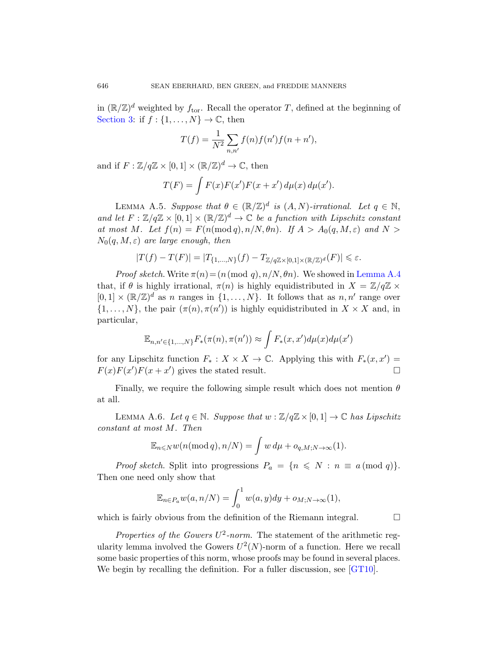<span id="page-25-1"></span>in  $(\mathbb{R}/\mathbb{Z})^d$  weighted by  $f_{\text{tor}}$ . Recall the operator T, defined at the beginning of Section 3: if  $f : \{1, \ldots, N\} \to \mathbb{C}$ , then

$$
T(f) = \frac{1}{N^2} \sum_{n,n'} f(n) f(n') f(n+n'),
$$

and if  $F: \mathbb{Z}/q\mathbb{Z} \times [0,1] \times (\mathbb{R}/\mathbb{Z})^d \to \mathbb{C}$ , then

$$
T(F) = \int F(x)F(x')F(x+x') d\mu(x) d\mu(x').
$$

LEMMA A.5. Suppose that  $\theta \in (\mathbb{R}/\mathbb{Z})^d$  is  $(A, N)$  $(A, N)$  $(A, N)$ -irrational. Let  $q \in \mathbb{N}$ , and let  $F: \mathbb{Z}/q\mathbb{Z} \times [0,1] \times (\mathbb{R}/\mathbb{Z})^d \to \mathbb{C}$  be a function with Lipschitz constant at most M. Let  $f(n) = F(n \pmod{q}, n/N, \theta n)$ . If  $A > A_0(q, M, \varepsilon)$  and  $N >$  $N_0(q, M, \varepsilon)$  are large enough, then

$$
|T(f)-T(F)|=|T_{\{1,\ldots,N\}}(f)-T_{\mathbb{Z}/q\mathbb{Z}\times[0,1]\times(\mathbb{R}/\mathbb{Z})^d}(F)|\leqslant \varepsilon.
$$

*Proof sketch.* Write  $\pi(n) = (n \pmod{q}, n/N, \theta n)$ . We showed in Lemma A.4 that, if  $\theta$  is highly irrational,  $\pi(n)$  is highly equidistributed in  $X = \mathbb{Z}/q\mathbb{Z} \times$  $[0,1] \times (\mathbb{R}/\mathbb{Z})^d$  as n ranges in  $\{1,\ldots,N\}$ . It follows that as  $n,n'$  range over  $\{1,\ldots,N\}$ , the pair  $(\pi(n), \pi(n'))$  is highly equidistributed in  $X \times X$  and, in particular,

$$
\mathbb{E}_{n,n' \in \{1,\dots,N\}} F_*(\pi(n), \pi(n')) \approx \int F_*(x, x') d\mu(x) d\mu(x')
$$

<span id="page-25-0"></span>for any Lipschitz function  $F_*: X \times X \to \mathbb{C}$ . Applying this with  $F_*(x, x') =$  $F(x)F(x')F(x+x')$  gives the stated result.

Finally, we require the following simple result which does not mention  $\theta$ at all.

LEMMA A.6. Let  $q \in \mathbb{N}$ . Suppose that  $w : \mathbb{Z}/q\mathbb{Z} \times [0, 1] \to \mathbb{C}$  has Lipschitz constant at most M. Then

$$
\mathbb{E}_{n\leqslant N}w(n(\text{mod }q),n/N)=\int w\,d\mu+o_{q,M;N\to\infty}(1).
$$

*Proof sketch.* Split into progressions  $P_a = \{n \leq N : n \equiv a \pmod{q}\}.$ Then one need only show that

$$
\mathbb{E}_{n\in P_a} w(a, n/N) = \int_0^1 w(a, y) dy + o_{M;N\to\infty}(1),
$$

which is fairly obvious from the definition of the Riemann integral.  $\Box$ 

Properties of the Gowers  $U^2$ -norm. The statement of the arithmetic regularity lemma involved the Gowers  $U^2(N)$ -norm of a function. Here we recall some basic properties of this norm, whose proofs may be found in several places. We begin by recalling the definition. For a fuller discussion, see [GT10].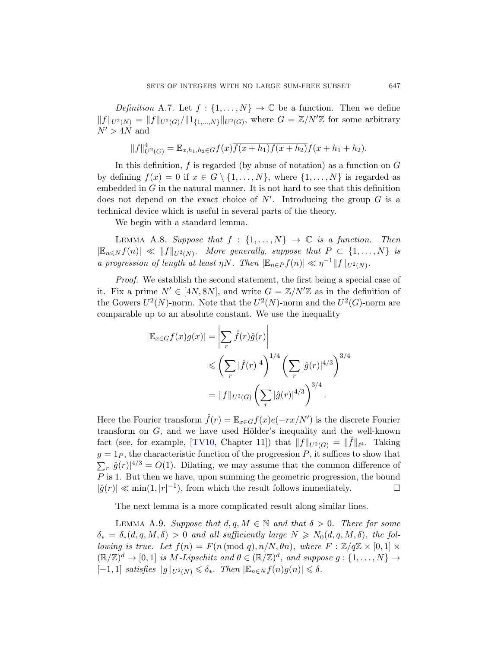Definition A.7. Let  $f: \{1, \ldots, N\} \to \mathbb{C}$  be a function. Then we define  $||f||_{U^2(N)} = ||f||_{U^2(G)}/||1_{\{1,\ldots,N\}}||_{U^2(G)}$ , where  $G = \mathbb{Z}/N'\mathbb{Z}$  for some arbitrary  $N^\prime > 4N$  and

$$
||f||_{U^{2}(G)}^{4} = \mathbb{E}_{x,h_{1},h_{2} \in G} f(x) \overline{f(x+h_{1})f(x+h_{2})} f(x+h_{1}+h_{2}).
$$

<span id="page-26-0"></span>In this definition,  $f$  is regarded (by abuse of notation) as a function on  $G$ by defining  $f(x) = 0$  if  $x \in G \setminus \{1, ..., N\}$ , where  $\{1, ..., N\}$  is regarded as embedded in  $G$  in the natural manner. It is not hard to see that this definition does not depend on the exact choice of  $N'$ . Introducing the group  $G$  is a technical device which is useful in several parts of the theory.

We begin with a standard lemma.

LEMMA A.8. Suppose that  $f : \{1, ..., N\} \rightarrow \mathbb{C}$  is a function. Then  $|\mathbb{E}_{n\leqslant N} f(n)| \ll ||f||_{U^2(N)}$ . More generally, suppose that  $P \subset \{1,\ldots,N\}$  is a progression of length at least  $\eta N$ . Then  $|\mathbb{E}_{n \in P} f(n)| \ll \eta^{-1} ||f||_{U^2(N)}$ .

Proof. We establish the second statement, the first being a special case of it. Fix a prime  $N' \in [4N, 8N]$ , and write  $G = \mathbb{Z}/N'\mathbb{Z}$  as in the definition of the Gowers  $U^2(N)$ -norm. Note that the  $U^2(N)$ -norm and the  $U^2(G)$ -norm are comparable up to an absolute constant. We use the inequality

$$
|\mathbb{E}_{x \in G} f(x)g(x)| = \left| \sum_{r} \hat{f}(r)\hat{g}(r) \right|
$$
  

$$
\leq \left( \sum_{r} |\hat{f}(r)|^4 \right)^{1/4} \left( \sum_{r} |\hat{g}(r)|^{4/3} \right)^{3/4}
$$
  

$$
= ||f||_{U^2(G)} \left( \sum_{r} |\hat{g}(r)|^{4/3} \right)^{3/4}.
$$

<span id="page-26-1"></span>Here the Fourier transform  $\hat{f}(r) = \mathbb{E}_{x \in G} f(x)e(-rx/N')$  is the discrete Fourier transform on  $G$ , and we have used Hölder's inequality and the well-known fact (see, for example, [TV10, Chapter 11]) that  $||f||_{U^2(G)} = ||\hat{f}||_{\ell^4}$ . Taking  $g = 1_P$ , the characteristic function of the progression P, it suffices to show that  $\sum_{r} |\hat{g}(r)|^{4/3} = O(1)$ . Dilating, we may assume that the common difference of P is 1. But then we have, upon summing the geometric progression, the bound  $|\hat{g}(r)| \ll \min(1, |r|^{-1}),$  from which the result follows immediately.

The next lemma is a more complicated result along similar lines.

LEMMA A.9. Suppose that  $d, q, M \in \mathbb{N}$  and that  $\delta > 0$ . There for some  $\delta_* = \delta_*(d, q, M, \delta) > 0$  and all sufficiently large  $N \geq N_0(d, q, M, \delta)$ , the fol*lowing is true.* Let  $f(n) = F(n \pmod{q}, n/N, \theta n)$ , where  $F : \mathbb{Z}/q\mathbb{Z} \times [0, 1] \times$  $(\mathbb{R}/\mathbb{Z})^d \to [0,1]$  is M-Lipschitz and  $\theta \in (\mathbb{R}/\mathbb{Z})^d$ , and suppose  $g: \{1,\ldots,N\} \to$  $[-1, 1]$  satisfies  $||g||_{U^2(N)} \leq \delta_*$ . Then  $|\mathbb{E}_{n \in N} f(n)g(n)| \leq \delta$ .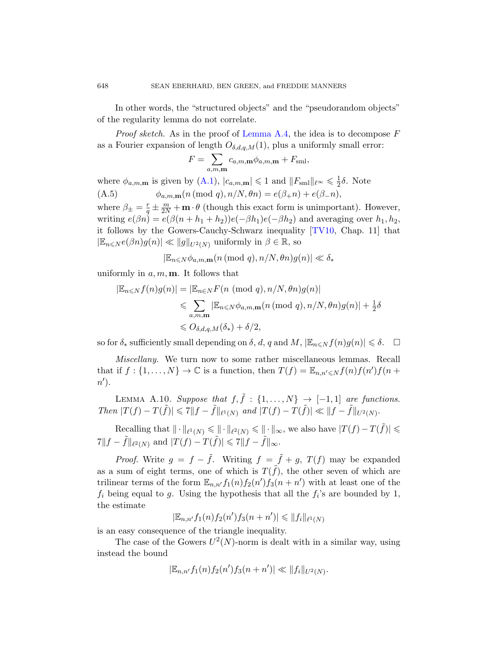[In](#page-24-3) other words, the "structured objects" and the "pseudorandom objects" of the regularity lemma do not correlate.

*Proof sketch.* As in the proof of Lemma A.4, the idea is to decompose  $F$ as a Fourier expansion of length  $O_{\delta,d,q,M}(1)$ , plus a uniformly small error:

$$
F = \sum_{a,m,\mathbf{m}} c_{a,m,\mathbf{m}} \phi_{a,m,\mathbf{m}} + F_{\text{sml}},
$$

where  $\phi_{a,m,\mathbf{m}}$  is given by (A.1),  $|c_{a,m,\mathbf{m}}| \leq 1$  and  $||F_{\text{sm}}||_{\ell^{\infty}} \leq \frac{1}{2}$  $\frac{1}{2}\delta$ . Note (A.5)  $\phi_{a,m,m}(n \pmod{q}, n/N, \theta n) = e(\beta_+ n) + e(\beta_- n),$ 

where  $\beta_{\pm} = \frac{r}{a}$  $\frac{r}{q} \pm \frac{m}{2N} + \mathbf{m} \cdot \theta$  (though this exact form is unimportant). However, writing  $e(\beta n) = e(\beta(n + h_1 + h_2))e(-\beta h_1)e(-\beta h_2)$  and averaging over  $h_1, h_2$ , it follows by the Gowers-Cauchy-Schwarz inequality [TV10, Chap. 11] that  $|\mathbb{E}_{n\leqslant N}e(\beta n)g(n)| \ll ||g||_{U^2(N)}$  uniformly in  $\beta \in \mathbb{R}$ , so

$$
|\mathbb{E}_{n\leq N}\phi_{a,m,\textup{\textbf{m}}}(n\,(\textup{\textbf{mod}}\,\,q),n/N,\theta n)g(n)|\ll \delta_*
$$

uniformly in  $a, m, m$ . It follows that

$$
|\mathbb{E}_{n \leq N} f(n)g(n)| = |\mathbb{E}_{n \in N} F(n \pmod{q}, n/N, \theta n)g(n)|
$$
  
\$\leqslant \sum\_{a,m,m} |\mathbb{E}\_{n \leqslant N} \phi\_{a,m,m}(n \pmod{q}, n/N, \theta n)g(n)| + \frac{1}{2}\delta\$  
\$\leqslant O\_{\delta,d,q,M}(\delta\_\*) + \delta/2\$,

so for  $\delta_*$  sufficiently small depending on  $\delta, d, q$  and  $M, |\mathbb{E}_{n \leq N} f(n)q(n)| \leq \delta$ .

Miscellany. We turn now to some rather miscellaneous lemmas. Recall that if  $f: \{1, ..., N\} \to \mathbb{C}$  is a function, then  $T(f) = \mathbb{E}_{n,n' \leq N} f(n) f(n') f(n +$  $n^{\prime}$ ).

LEMMA A.10. Suppose that  $f, \tilde{f} : \{1, \ldots, N\} \rightarrow [-1, 1]$  are functions. Then  $|T(f) - T(\tilde{f})| \leq 7||f - \tilde{f}||_{\ell^1(N)}$  and  $|T(f) - T(\tilde{f})| \leq ||f - \tilde{f}||_{U^2(N)}$ .

Recalling that  $\|\cdot\|_{\ell^1(N)} \leqslant \|\cdot\|_{\ell^2(N)} \leqslant \|\cdot\|_{\infty}$ , we also have  $|T(f) - T(\tilde{f})| \leqslant$  $7\|f - \tilde{f}\|_{\ell^2(N)} \text{ and } |T(f) - T(\tilde{f})| \leq 7\|f - \tilde{f}\|_{\infty}.$ 

*Proof.* Write  $g = f - \tilde{f}$ . Writing  $f = \tilde{f} + g$ ,  $T(f)$  may be expanded as a sum of eight terms, one of which is  $T(\tilde{f})$ , the other seven of which are trilinear terms of the form  $\mathbb{E}_{n,n'} f_1(n) f_2(n') f_3(n+n')$  with at least one of the  $f_i$  being equal to g. Using the hypothesis that all the  $f_i$ 's are bounded by 1, the estimate

$$
|\mathbb{E}_{n,n'}f_1(n)f_2(n')f_3(n+n')| \leq ||f_i||_{\ell^1(N)}
$$

is an easy consequence of the triangle inequality.

The case of the Gowers  $U^2(N)$ -norm is dealt with in a similar way, using instead the bound

$$
|\mathbb{E}_{n,n'}f_1(n)f_2(n')f_3(n+n')| \ll ||f_i||_{U^2(N)}.
$$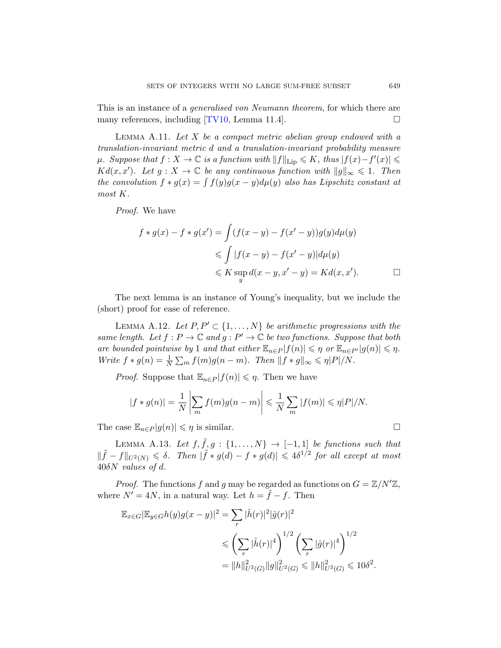<span id="page-28-0"></span>This is an instance of a generalised von Neumann theorem, for which there are many references, including  $[TV10, \text{Lemma } 11.4]$ .

LEMMA A.11. Let  $X$  be a compact metric abelian group endowed with a translation-invariant metric d and a translation-invariant probability measure  $\mu$ . Suppose that  $f: X \to \mathbb{C}$  is a function with  $||f||_{\text{Lip}} \leqslant K$ , thus  $|f(x) - f'(x)| \leqslant$  $Kd(x, x')$ . Let  $g : X \to \mathbb{C}$  be any continuous function with  $||g||_{\infty} \leq 1$ . Then the convolution  $f * g(x) = \int f(y)g(x - y) d\mu(y)$  also has Lipschitz constant at most K.

Proof. We have

$$
f * g(x) - f * g(x') = \int (f(x - y) - f(x' - y))g(y)d\mu(y)
$$
  
\n
$$
\leq \int |f(x - y) - f(x' - y)|d\mu(y)
$$
  
\n
$$
\leq K \sup_{y} d(x - y, x' - y) = Kd(x, x').
$$

The next lemma is an instance of Young's inequality, but we include the (short) proof for ease of reference.

LEMMA A.12. Let  $P, P' \subset \{1, \ldots, N\}$  be arithmetic progressions with the same length. Let  $f : P \to \mathbb{C}$  and  $g : P' \to \mathbb{C}$  be two functions. Suppose that both are bounded pointwise by 1 and that either  $\mathbb{E}_{n\in P}|f(n)| \leq \eta$  or  $\mathbb{E}_{n\in P'}|g(n)| \leq \eta$ . Write  $f * g(n) = \frac{1}{N} \sum_m f(m)g(n-m)$ . Then  $||f * g||_{\infty} \le \eta |P|/N$ .

*Proof.* Suppose that  $\mathbb{E}_{n \in P} |f(n)| \leq \eta$ . Then we have

$$
|f * g(n)| = \frac{1}{N} \left| \sum_{m} f(m)g(n-m) \right| \leq \frac{1}{N} \sum_{m} |f(m)| \leq \eta |P|/N.
$$

The case  $\mathbb{E}_{n\in P}|g(n)| \leq \eta$  is similar.

LEMMA A.13. Let  $f, \tilde{f}, g : \{1, \ldots, N\} \rightarrow [-1, 1]$  be functions such that  $\|\tilde{f} - f\|_{U^2(N)} \leq \delta$ . Then  $|\tilde{f} * g(d) - f * g(d)| \leq 4\delta^{1/2}$  for all except at most  $40\delta N$  values of d.

*Proof.* The functions f and g may be regarded as functions on  $G = \mathbb{Z}/N'\mathbb{Z}$ , where  $N' = 4N$ , in a natural way. Let  $h = \tilde{f} - f$ . Then

$$
\mathbb{E}_{x \in G} |\mathbb{E}_{y \in G} h(y)g(x - y)|^2 = \sum_r |\hat{h}(r)|^2 |\hat{g}(r)|^2
$$
  
\$\leqslant \left(\sum\_r |\hat{h}(r)|^4\right)^{1/2} \left(\sum\_r |\hat{g}(r)|^4\right)^{1/2}\$  
=  $||h||_{U^2(G)}^2 ||g||_{U^2(G)}^2 \leqslant ||h||_{U^2(G)}^2 \leqslant 10\delta^2.$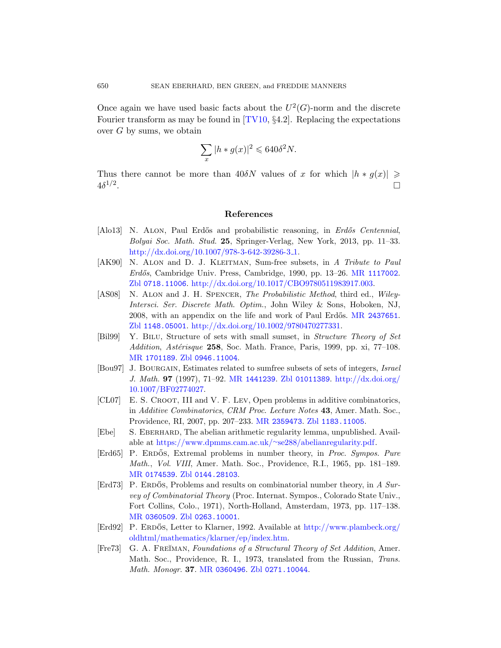Once again we have used basic facts about the  $U^2(G)$ -norm and the discrete Fourier transform as may be found in  $[TV10, §4.2]$ . Replacing the expectations over  $G$  by sums, we obtain

$$
\sum_x |h * g(x)|^2 \leqslant 640 \delta^2 N.
$$

<span id="page-29-3"></span><span id="page-29-1"></span>[Thus there cannot be more](http://dx.doi.org/10.1007/978-3-642-39286-3_1) than 40δN values of x for which  $|h * g(x)| \geq$  $4\delta^{1/2}$ .

#### [References](http://dx.doi.org/10.1017/CBO9780511983917.003)

- <span id="page-29-4"></span>[Alo13] N. ALON, Paul Erdős and probabilistic reasoning, in *Erdős Centennial*, Bolyai Soc. Math. Stud. 25, Spring[er-Verlag, New](http://www.ams.org/mathscinet-getitem?mr=2437651) York, 2013, pp. 11–33. [http://dx.doi.org/10.1007/978-3-6](http://dx.doi.org/10.1002/9780470277331)42-39286-3<sub>-1</sub>.
- <span id="page-29-7"></span>[\[](http://www.zentralblatt-math.org/zmath/en/search/?q=an:1148.05001)AK90] N. ALON and D. J. KLEITMAN, Sum-free subsets, in A Tribute to Paul Erdős, Cambridge Univ. Press, Cambridge, 1990, pp. 13–26. MR 1117002. [Zbl](http://www.zentralblatt-math.org/zmath/en/search/?q=an:0946.11004) 0718.11006. http://dx.doi.org/10.1017/CBO9780511983917.003.
- [AS08] N. ALON and J. H. SPENCER, The Probabilistic Method, third ed., Wiley-In[tersci](http://www.ams.org/mathscinet-getitem?mr=1441239). Ser. D[iscrete Math](http://www.zentralblatt-math.org/zmath/en/search/?q=an:01011389). Optim[., John Wiley](http://dx.doi.org/10.1007/BF02774027) & Sons, Hoboken, NJ, 2008, with an appendix on the life and work of Paul Erdős. MR 2437651. Zbl 1148.05001. http://dx.doi.org/10.1002/9780470277331.
- [Bil99] Y. Bilu, Structure of sets with small sumset, in Structure Theory of Set Addition, Astérisque 258[, Soc. Math. Fr](http://www.zentralblatt-math.org/zmath/en/search/?q=an:1183.11005)ance, Paris, 1999, pp. xi,  $77-108$ . MR 1701189. Zbl 0946.11004.
- <span id="page-29-8"></span><span id="page-29-0"></span>[Bou97] J. BOURGAIN[, Estimates related to sumfree](https://www.dpmms.cam.ac.uk/~se288/abelianregularity.pdf) subsets of sets of integers, Israel J. Math. 97 (1997), 71–92. MR 1441239. Zbl 01011389. http://dx.doi.org/ 10.1007/BF02774027.
- <span id="page-29-5"></span>[\[CL07\]](http://www.zentralblatt-math.org/zmath/en/search/?q=an:0144.28103) E. S. CROOT, III and V. F. LEV, Open problems in additive combinatorics, in Additive Combinatorics, CRM Proc. Lecture Notes 43, Amer. Math. Soc., Providence, RI, 2007, pp. 207–233. MR 2359473. Zbl 1183.11005.
- [Ebe] S. Eberhard, The abelian arithmetic regularity lemma, unpublished. Avail[able a](http://www.zentralblatt-math.org/zmath/en/search/?q=an:0263.10001)t https://www.dpmms.cam.ac.uk/∼se288/abelianregularity.pdf.
- <span id="page-29-2"></span>[Erd65] P. ERDŐS, Extremal [problems in number theory,](http://www.plambeck.org/oldhtml/mathematics/klarner/ep/index.htm) in *Proc. Sympos. Pure* [Math](http://www.plambeck.org/oldhtml/mathematics/klarner/ep/index.htm)., Vol. VIII, Amer. Math. Soc., Providence, R.I., 1965, pp. 181–189. MR 0174539. Zbl 0144.28103.
- <span id="page-29-6"></span>[Erd73] P. ERDOS, Problems and results on combinatorial number theory, in A Sur[vey of C](http://www.ams.org/mathscinet-getitem?mr=0360496)[ombinatorial Theo](http://www.zentralblatt-math.org/zmath/en/search/?q=an:0271.10044)ry (Proc. Internat. Sympos., Colorado State Univ., Fort Collins, Colo., 1971), North-Holland, Amsterdam, 1973, pp. 117–138. MR 0360509. Zbl 0263.10001.
- [Erd92] P. ERDŐS, Letter to Klarner, 1992. Available at http://www.plambeck.org/ oldhtml/mathematics/klarner/ep/index.htm.
- [Fre73] G. A. FREŬMAN, Foundations of a Structural Theory of Set Addition, Amer. Math. Soc., Providence, R. I., 1973, translated from the Russian, Trans. Math. Monogr. 37. MR 0360496. Zbl 0271.10044.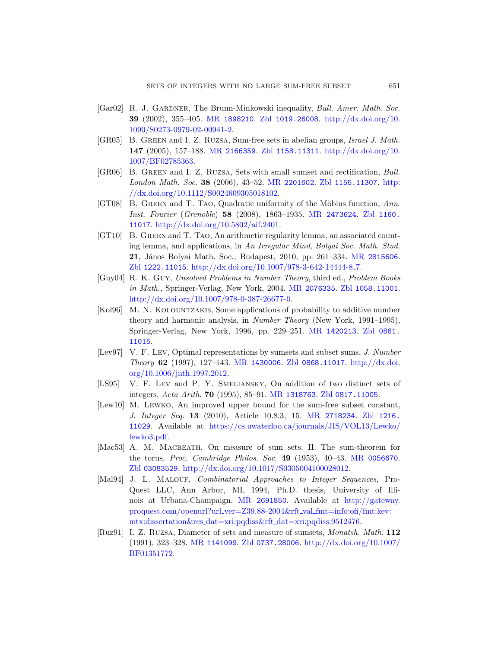- <span id="page-30-6"></span>[Gar02] R. J. GARDNER[, The Brun](http://www.ams.org/mathscinet-getitem?mr=2201602)[n-Minkowski ineq](http://www.zentralblatt-math.org/zmath/en/search/?q=an:1155.11307)[uality](http://dx.doi.org/10.1112/S0024609305018102), *Bull. Amer. Math. Soc.* 39 [\(2002\), 355–4](http://dx.doi.org/10.1112/S0024609305018102)05. MR 1898210. Zbl 1019.26008. http://dx.doi.org/10. 1090/S0273-0979-02-00941-2.
- <span id="page-30-10"></span>[GR05] B. Green and I. Z. Ruzsa[, Sum-free s](http://www.ams.org/mathscinet-getitem?mr=2473624)[ets in abelia](http://www.zentralblatt-math.org/zmath/en/search/?q=an:1160.11017)n groups, Israel J. Math. 147 [\(2005\), 157–](http://dx.doi.org/10.5802/aif.2401)188. MR 2166359. Zbl 1158.11311. http://dx.doi.org/10. 1007/BF02785363.
- <span id="page-30-4"></span>[GR06] B. Green and I. Z. Ruzsa, Sets with small sumset and rectification, Bull. London Math. Soc. 38 (2006), 43–52. MR [220160](http://www.ams.org/mathscinet-getitem?mr=2815606)2. Zbl 1155.11307. http: [//dx.doi.org/10.1112/S002460930501810](http://dx.doi.org/10.1007/978-3-642-14444-8_7)2.
- <span id="page-30-1"></span>[\[](http://www.zentralblatt-math.org/zmath/en/search/?q=an:1222.11015)GT08] B. GREEN and T. TAO, Quadratic uniformity of the Möbius function, Ann. Inst. Fourier (Gre[noble](http://www.ams.org/mathscinet-getitem?mr=2076335)) 58 (20[08\), 1863–1935.](http://www.zentralblatt-math.org/zmath/en/search/?q=an:1058.11001) MR 2473624. Zbl 1160. 11017. [http://dx.doi](http://dx.doi.org/10.1007/978-0-387-26677-0).org/10.5802/aif.2401.
- <span id="page-30-3"></span>[GT10] B. Green and T. Tao, An arithmetic regularity lemma, an associated counting lemma, and applications, in An Irregular Mind, Bolyai Soc. Math. Stud. 21, János Bolyai Math. [Soc., Budapes](http://www.ams.org/mathscinet-getitem?mr=1420213)[t, 2010, pp](http://www.zentralblatt-math.org/zmath/en/search/?q=an:0861.11015). 261–334. MR 2815606. Zbl 1222.11015. http://dx.doi.org/10.1007/978-3-642-14444-8 7.
- <span id="page-30-8"></span>[Guy04] R. K. Guy, Unsolved Problems in Number Theory, third ed., Problem Books in Math[., Springe](http://www.ams.org/mathscinet-getitem?mr=1430006)r[-Verlag, New Yor](http://www.zentralblatt-math.org/zmath/en/search/?q=an:0868.11017)[k, 2004.](http://dx.doi.org/10.1006/jnth.1997.2012) MR 2076335. Zbl 1058.11001. [htt](http://dx.doi.org/10.1006/jnth.1997.2012)p://dx.doi.org/10.1007/978-0-387-26677-0.
- <span id="page-30-9"></span><span id="page-30-2"></span>[Kol96] M. N. KOLOUNTZAKIS, Some applications of probability to additive number theory and h[armonic analy](http://www.ams.org/mathscinet-getitem?mr=1318763)sis, in [Number T](http://www.zentralblatt-math.org/zmath/en/search/?q=an:0817.11005)heory (New York, 1991–1995), Springer-Verlag, New York, 1996, pp. 229–251. MR 1420213. Zbl 0861. 11015.
- [Lev97] V. F. Lev[, Optimal representations by sumsets and](https://cs.uwaterloo.ca/journals/JIS/VOL13/Lewko/lewko3.pdf) subset sums, J. Number Theory 62 (1997), 127–143. MR 1430006. Zbl 0868.11017. http://dx.doi. org/10.1006/jnth.1997.2012.
- <span id="page-30-5"></span>[LS95] V. F. Lev and P. Y. Smeliansky[, On additio](http://www.ams.org/mathscinet-getitem?mr=0056670)n of two distinct sets of integers, Acta Arith. 70 [\(1995\), 85–9](http://dx.doi.org/10.1017/S0305004100028012)1. MR 1318763. Zbl 0817.11005.
- <span id="page-30-0"></span>[Lew10] M. Lewko, An improved upper bound for the sum-free subset constant, J. Integer Seq. 13 (2010), Article 10.8.3, 15. MR 2718234. Zbl 1216. 11029[. Available a](http://www.ams.org/mathscinet-getitem?mr=2691850)t https://cs.u[waterloo.ca/journ](http://gateway.proquest.com/openurl?url_ver=Z39.88-2004&rft_val_fmt=info:ofi/fmt:kev:mtx:dissertation&res_dat=xri:pqdiss&rft_dat=xri:pqdiss:9512476)als/JIS/VOL13/Lewko/ [lewko3.pdf.](http://gateway.proquest.com/openurl?url_ver=Z39.88-2004&rft_val_fmt=info:ofi/fmt:kev:mtx:dissertation&res_dat=xri:pqdiss&rft_dat=xri:pqdiss:9512476)
- <span id="page-30-7"></span>[Mac53] A. M. MACBEATH[, On measure of s](http://gateway.proquest.com/openurl?url_ver=Z39.88-2004&rft_val_fmt=info:ofi/fmt:kev:mtx:dissertation&res_dat=xri:pqdiss&rft_dat=xri:pqdiss:9512476)um sets. II. The sum-theorem for the torus, Proc. Cambridge Philos. Soc. 49 (1953), 40–43. MR 0056670. [Zbl](http://www.ams.org/mathscinet-getitem?mr=1141099) 0[3083529](http://www.zentralblatt-math.org/zmath/en/search/?q=an:0737.28006). http://d[x.doi.org/10.1017/S0305004](http://dx.doi.org/10.1007/BF01351772)100028012.
- [Mal94] J. L. MALOUF, *Combinatorial Approaches to Integer Sequences*, Pro-Quest LLC, Ann Arbor, MI, 1994, Ph.D. thesis, University of Illinois at Urbana-Champaign. MR 2691850. Available at http://gateway. proquest.com/openurl?url ver=Z39.88-2004&rft val fmt=info:ofi/fmt:kev: mtx:dissertation&res dat=xri:pqdiss&rft dat=xri:pqdiss:9512476.
- [Ruz91] I. Z. Ruzsa, Diameter of sets and measure of sumsets, Monatsh. Math. 112 (1991), 323–328. MR 1141099. Zbl 0737.28006. http://dx.doi.org/10.1007/ BF01351772.